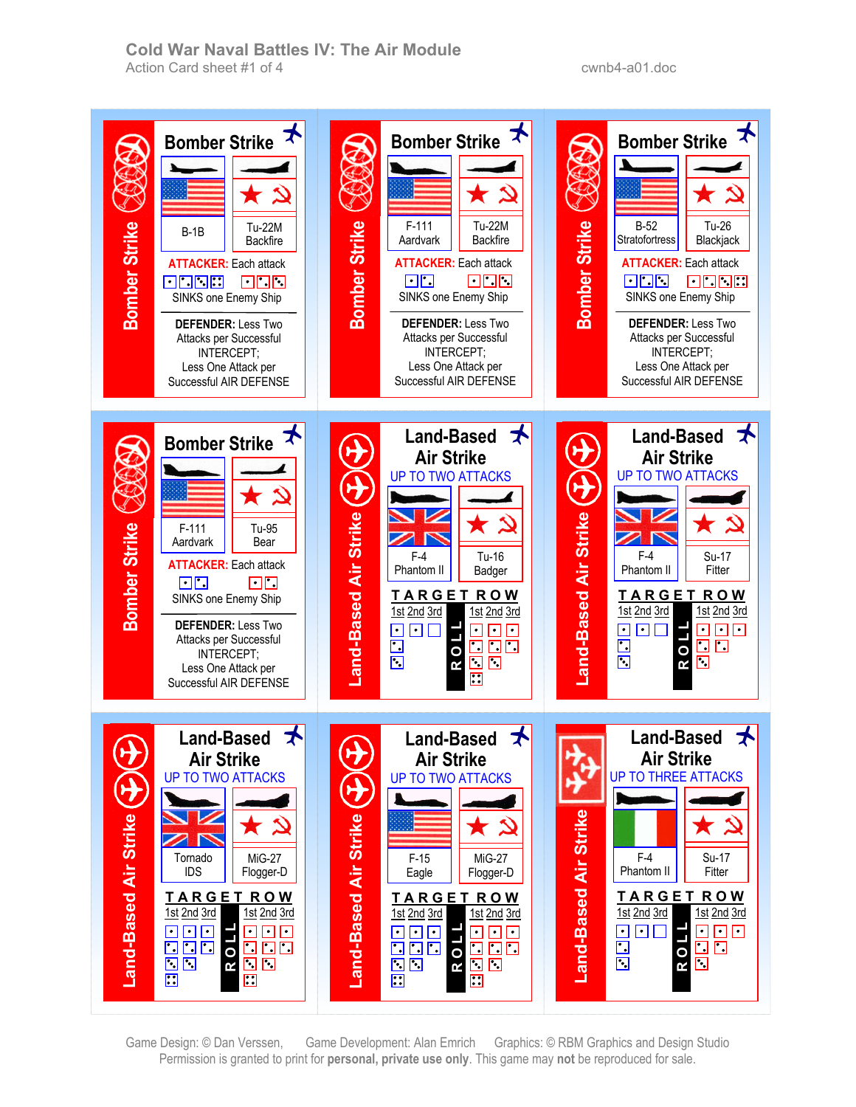**Cold War Naval Battles IV: The Air Module**  Action Card sheet #1 of 4 cwnb4-a01.doc

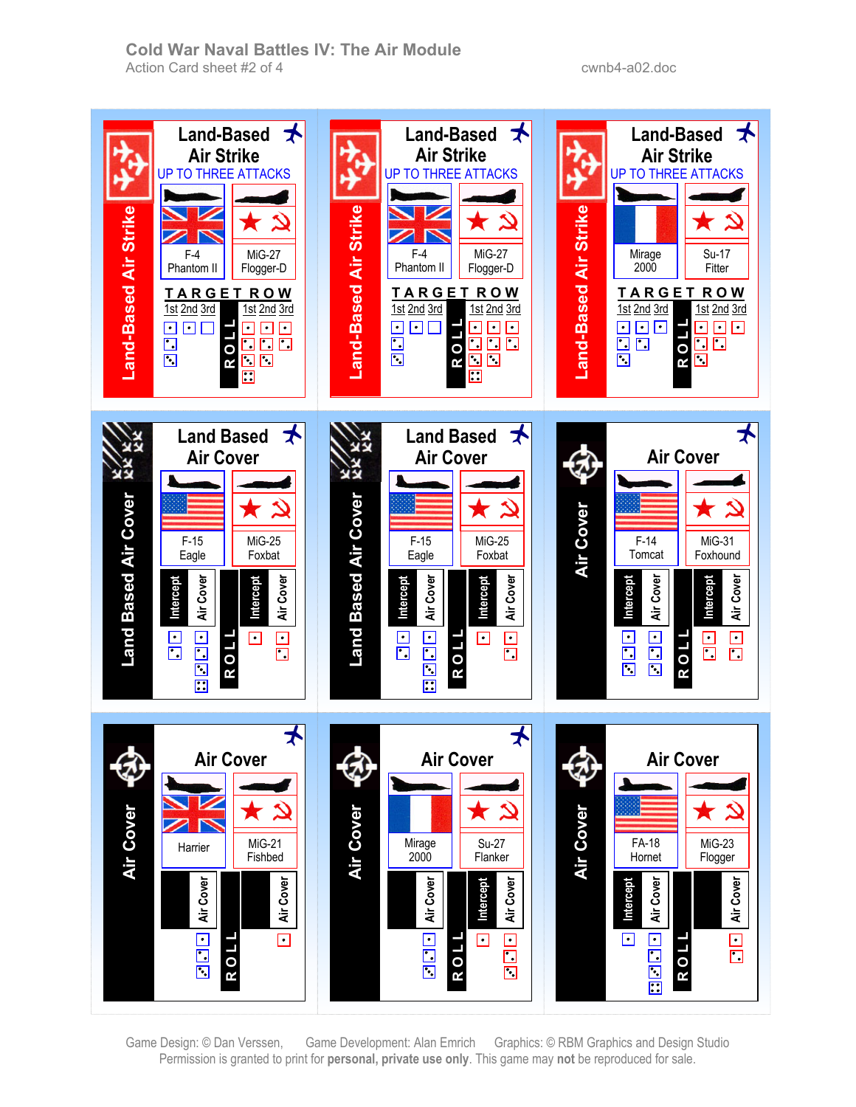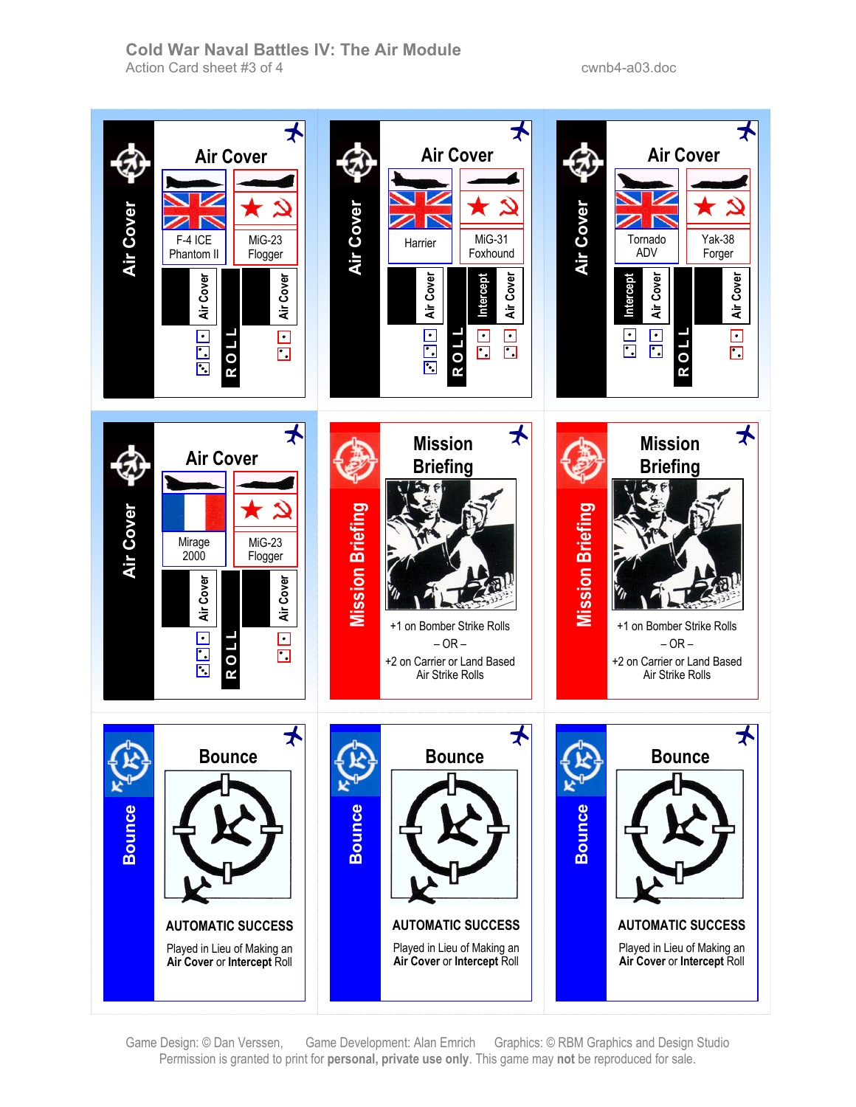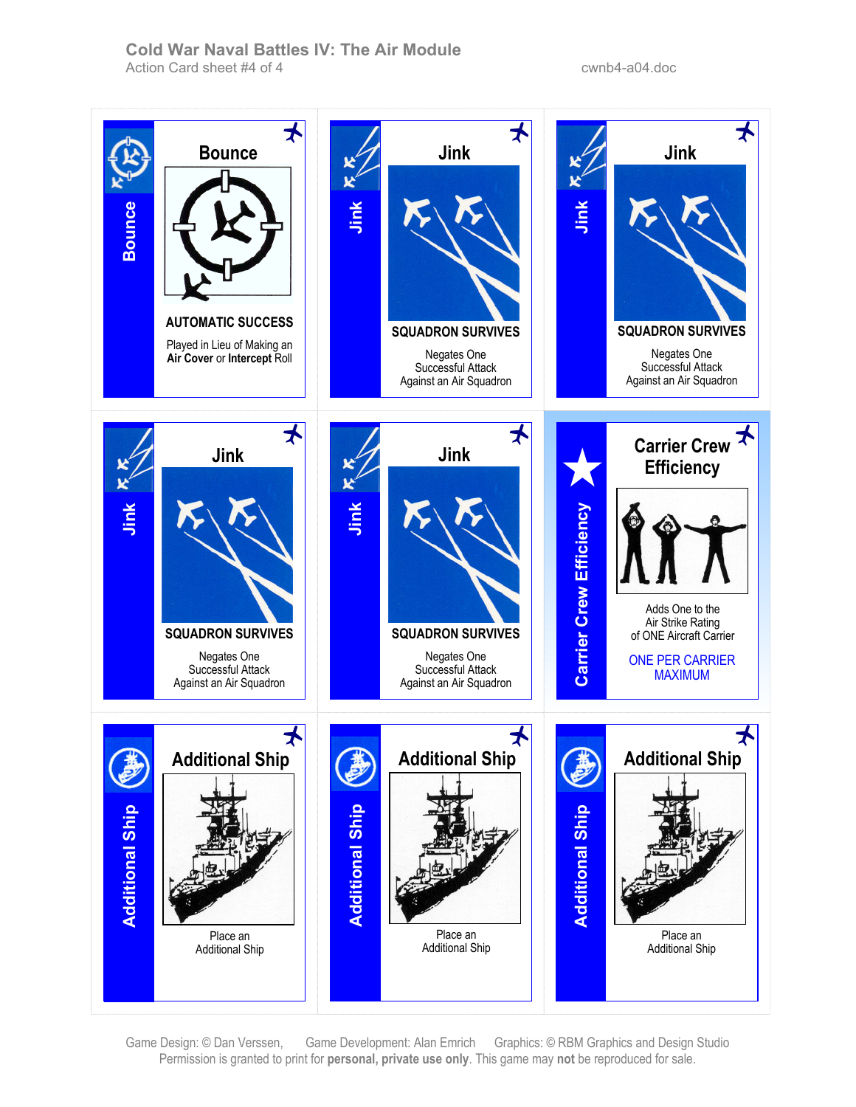### **Cold War Naval Battles IV: The Air Module**  Action Card sheet #4 of 4 cwnb4-a04.doc

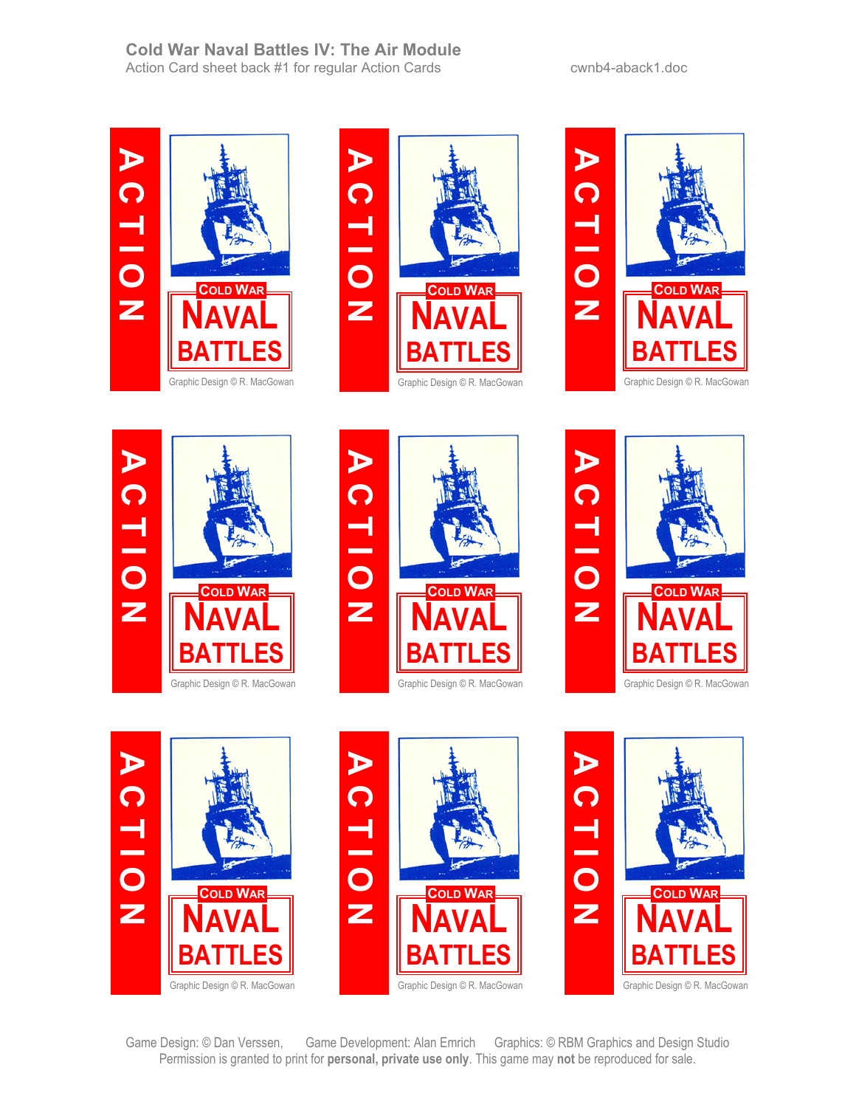### **Cold War Naval Battles IV: The Air Module**  Action Card sheet back #1 for regular Action Cards cwnb4-aback1.doc



















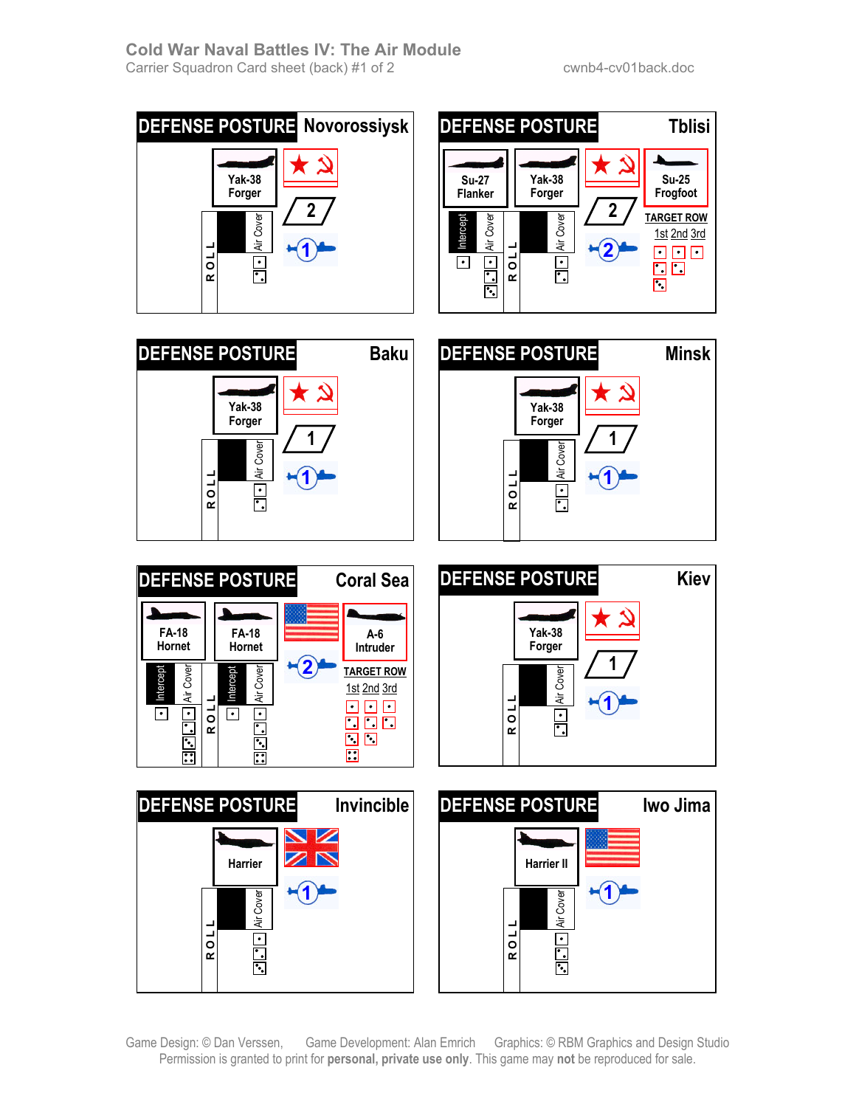





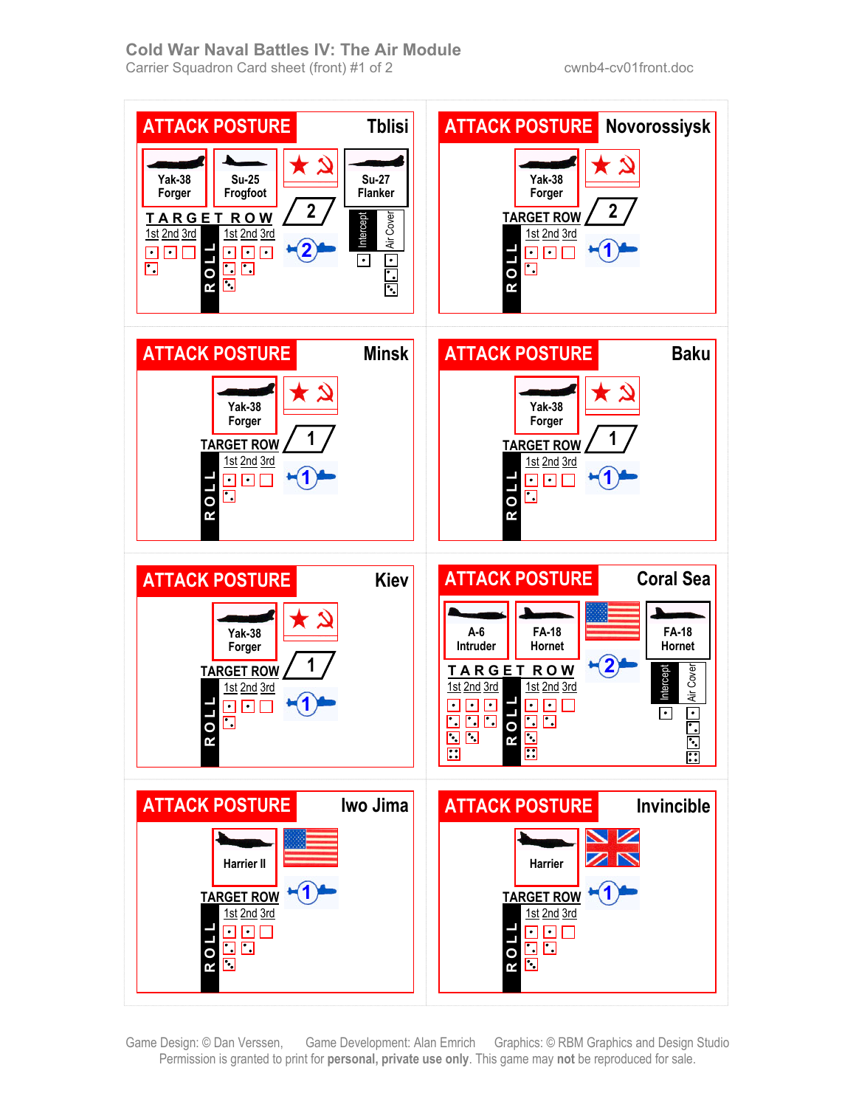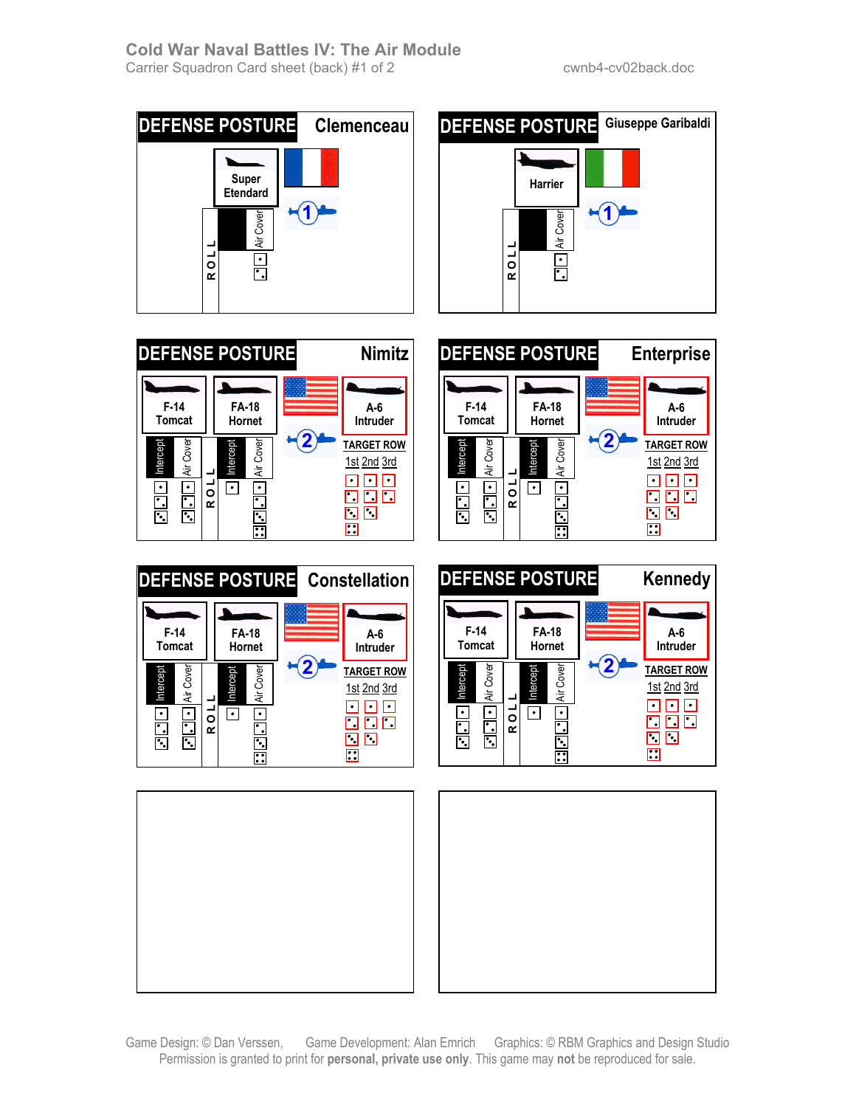













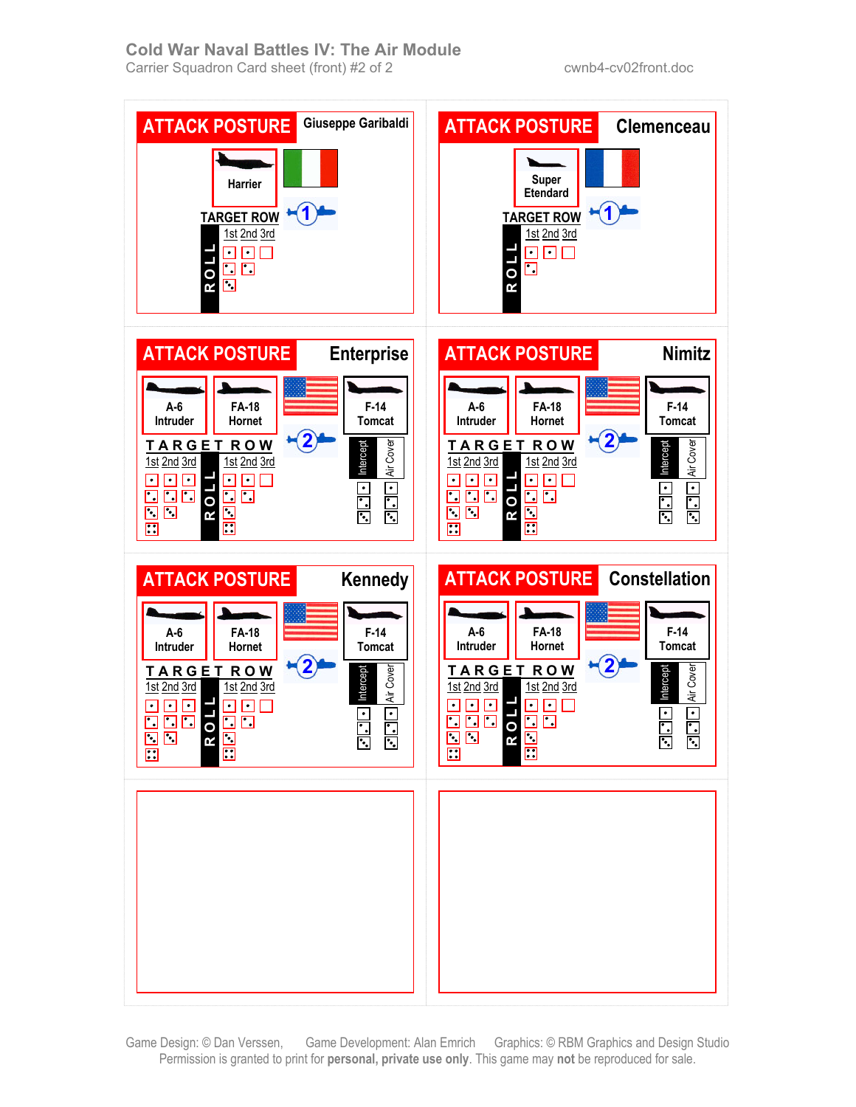### **Cold War Naval Battles IV: The Air Module**  Carrier Squadron Card sheet (front) #2 of 2 cwnb4-cv02front.doc

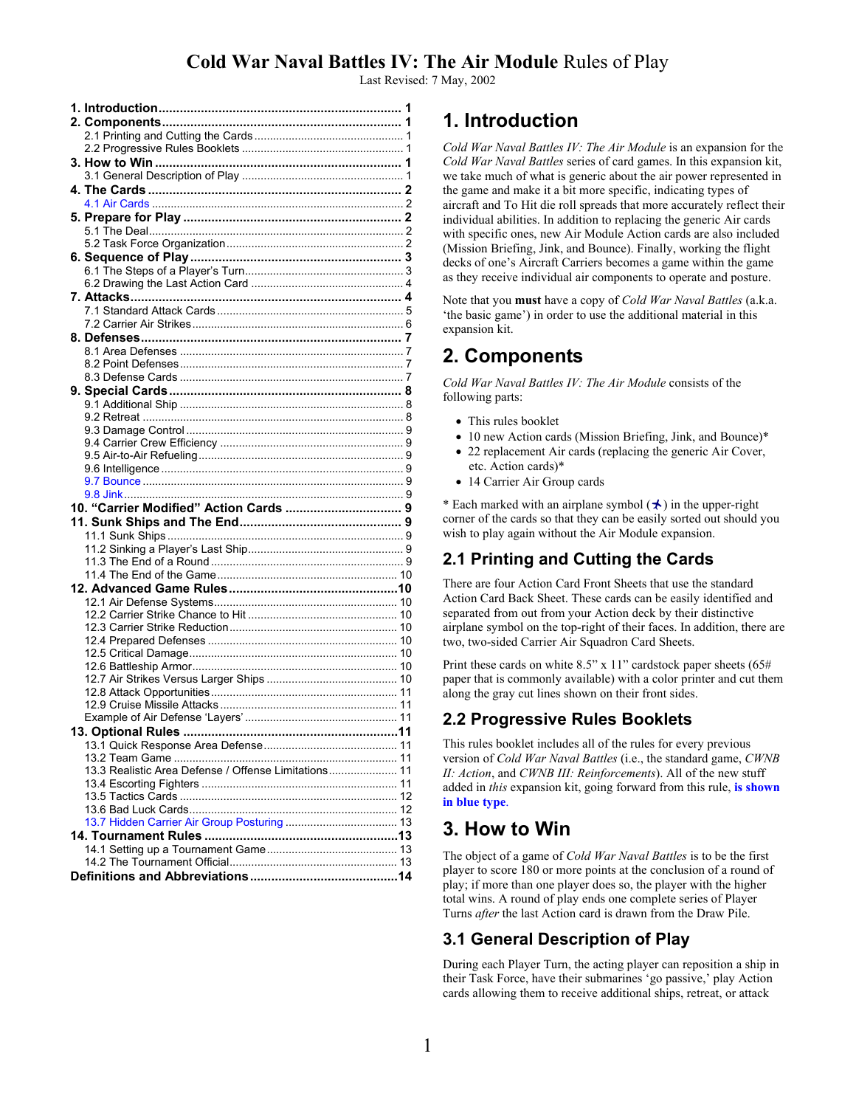Last Revised: 7 May, 2002

| 10. "Carrier Modified" Action Cards  9               |  |
|------------------------------------------------------|--|
|                                                      |  |
|                                                      |  |
|                                                      |  |
|                                                      |  |
|                                                      |  |
|                                                      |  |
|                                                      |  |
|                                                      |  |
|                                                      |  |
|                                                      |  |
|                                                      |  |
|                                                      |  |
|                                                      |  |
|                                                      |  |
|                                                      |  |
|                                                      |  |
|                                                      |  |
|                                                      |  |
|                                                      |  |
| 13.3 Realistic Area Defense / Offense Limitations 11 |  |
|                                                      |  |
|                                                      |  |
|                                                      |  |
|                                                      |  |
|                                                      |  |
|                                                      |  |
|                                                      |  |
|                                                      |  |
|                                                      |  |

# **1. Introduction**

*Cold War Naval Battles IV: The Air Module* is an expansion for the *Cold War Naval Battles* series of card games. In this expansion kit, we take much of what is generic about the air power represented in the game and make it a bit more specific, indicating types of aircraft and To Hit die roll spreads that more accurately reflect their individual abilities. In addition to replacing the generic Air cards with specific ones, new Air Module Action cards are also included (Mission Briefing, Jink, and Bounce). Finally, working the flight decks of one's Aircraft Carriers becomes a game within the game as they receive individual air components to operate and posture.

Note that you **must** have a copy of *Cold War Naval Battles* (a.k.a. 'the basic game') in order to use the additional material in this expansion kit.

# **2. Components**

*Cold War Naval Battles IV: The Air Module* consists of the following parts:

- This rules booklet
- 10 new Action cards (Mission Briefing, Jink, and Bounce)\*
- 22 replacement Air cards (replacing the generic Air Cover,
- etc. Action cards)\* • 14 Carrier Air Group cards

\* Each marked with an airplane symbol  $(\star)$  in the upper-right corner of the cards so that they can be easily sorted out should you wish to play again without the Air Module expansion.

# **2.1 Printing and Cutting the Cards**

There are four Action Card Front Sheets that use the standard Action Card Back Sheet. These cards can be easily identified and separated from out from your Action deck by their distinctive airplane symbol on the top-right of their faces. In addition, there are two, two-sided Carrier Air Squadron Card Sheets.

Print these cards on white 8.5" x 11" cardstock paper sheets (65# paper that is commonly available) with a color printer and cut them along the gray cut lines shown on their front sides.

# **2.2 Progressive Rules Booklets**

This rules booklet includes all of the rules for every previous version of *Cold War Naval Battles* (i.e., the standard game, *CWNB II: Action*, and *CWNB III: Reinforcements*). All of the new stuff added in *this* expansion kit, going forward from this rule, **is shown in blue type**.

# **3. How to Win**

The object of a game of *Cold War Naval Battles* is to be the first player to score 180 or more points at the conclusion of a round of play; if more than one player does so, the player with the higher total wins. A round of play ends one complete series of Player Turns *after* the last Action card is drawn from the Draw Pile.

# **3.1 General Description of Play**

During each Player Turn, the acting player can reposition a ship in their Task Force, have their submarines 'go passive,' play Action cards allowing them to receive additional ships, retreat, or attack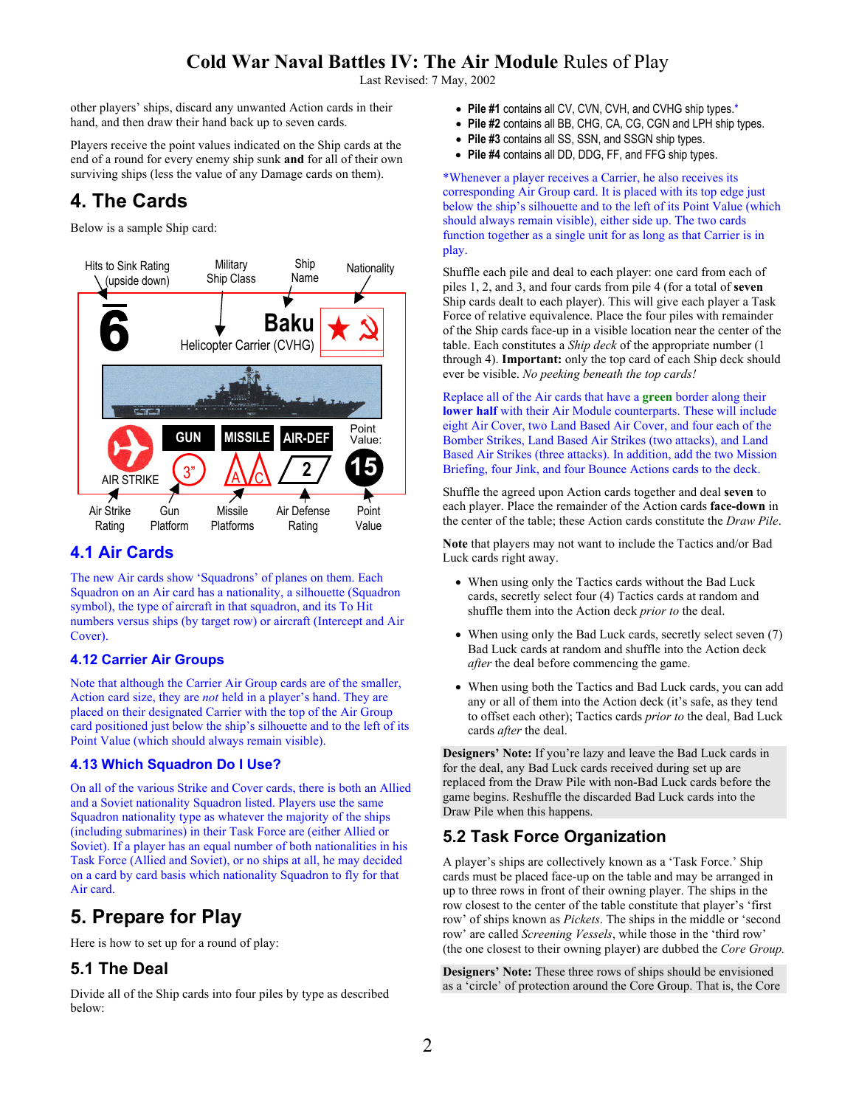Last Revised: 7 May, 2002

other players' ships, discard any unwanted Action cards in their hand, and then draw their hand back up to seven cards.

Players receive the point values indicated on the Ship cards at the end of a round for every enemy ship sunk **and** for all of their own surviving ships (less the value of any Damage cards on them).

# **4. The Cards**

Below is a sample Ship card:



### **4.1 Air Cards**

The new Air cards show 'Squadrons' of planes on them. Each Squadron on an Air card has a nationality, a silhouette (Squadron symbol), the type of aircraft in that squadron, and its To Hit numbers versus ships (by target row) or aircraft (Intercept and Air Cover).

### **4.12 Carrier Air Groups**

Note that although the Carrier Air Group cards are of the smaller, Action card size, they are *not* held in a player's hand. They are placed on their designated Carrier with the top of the Air Group card positioned just below the ship's silhouette and to the left of its Point Value (which should always remain visible).

### **4.13 Which Squadron Do I Use?**

On all of the various Strike and Cover cards, there is both an Allied and a Soviet nationality Squadron listed. Players use the same Squadron nationality type as whatever the majority of the ships (including submarines) in their Task Force are (either Allied or Soviet). If a player has an equal number of both nationalities in his Task Force (Allied and Soviet), or no ships at all, he may decided on a card by card basis which nationality Squadron to fly for that Air card.

# **5. Prepare for Play**

Here is how to set up for a round of play:

## **5.1 The Deal**

Divide all of the Ship cards into four piles by type as described below:

- **Pile #1** contains all CV, CVN, CVH, and CVHG ship types.\*
- **Pile #2** contains all BB, CHG, CA, CG, CGN and LPH ship types.
- **Pile #3** contains all SS, SSN, and SSGN ship types.
- **Pile #4** contains all DD, DDG, FF, and FFG ship types.

\*Whenever a player receives a Carrier, he also receives its corresponding Air Group card. It is placed with its top edge just below the ship's silhouette and to the left of its Point Value (which should always remain visible), either side up. The two cards function together as a single unit for as long as that Carrier is in play.

Shuffle each pile and deal to each player: one card from each of piles 1, 2, and 3, and four cards from pile 4 (for a total of **seven** Ship cards dealt to each player). This will give each player a Task Force of relative equivalence. Place the four piles with remainder of the Ship cards face-up in a visible location near the center of the table. Each constitutes a *Ship deck* of the appropriate number (1 through 4). **Important:** only the top card of each Ship deck should ever be visible. *No peeking beneath the top cards!* 

Replace all of the Air cards that have a **green** border along their **lower half** with their Air Module counterparts. These will include eight Air Cover, two Land Based Air Cover, and four each of the Bomber Strikes, Land Based Air Strikes (two attacks), and Land Based Air Strikes (three attacks). In addition, add the two Mission Briefing, four Jink, and four Bounce Actions cards to the deck.

Shuffle the agreed upon Action cards together and deal **seven** to each player. Place the remainder of the Action cards **face-down** in the center of the table; these Action cards constitute the *Draw Pile*.

**Note** that players may not want to include the Tactics and/or Bad Luck cards right away.

- When using only the Tactics cards without the Bad Luck cards, secretly select four (4) Tactics cards at random and shuffle them into the Action deck *prior to* the deal.
- When using only the Bad Luck cards, secretly select seven (7) Bad Luck cards at random and shuffle into the Action deck *after* the deal before commencing the game.
- When using both the Tactics and Bad Luck cards, you can add any or all of them into the Action deck (it's safe, as they tend to offset each other); Tactics cards *prior to* the deal, Bad Luck cards *after* the deal.

**Designers' Note:** If you're lazy and leave the Bad Luck cards in for the deal, any Bad Luck cards received during set up are replaced from the Draw Pile with non-Bad Luck cards before the game begins. Reshuffle the discarded Bad Luck cards into the Draw Pile when this happens.

# **5.2 Task Force Organization**

A player's ships are collectively known as a 'Task Force.' Ship cards must be placed face-up on the table and may be arranged in up to three rows in front of their owning player. The ships in the row closest to the center of the table constitute that player's 'first row' of ships known as *Pickets*. The ships in the middle or 'second row' are called *Screening Vessels*, while those in the 'third row' (the one closest to their owning player) are dubbed the *Core Group.*

**Designers' Note:** These three rows of ships should be envisioned as a 'circle' of protection around the Core Group. That is, the Core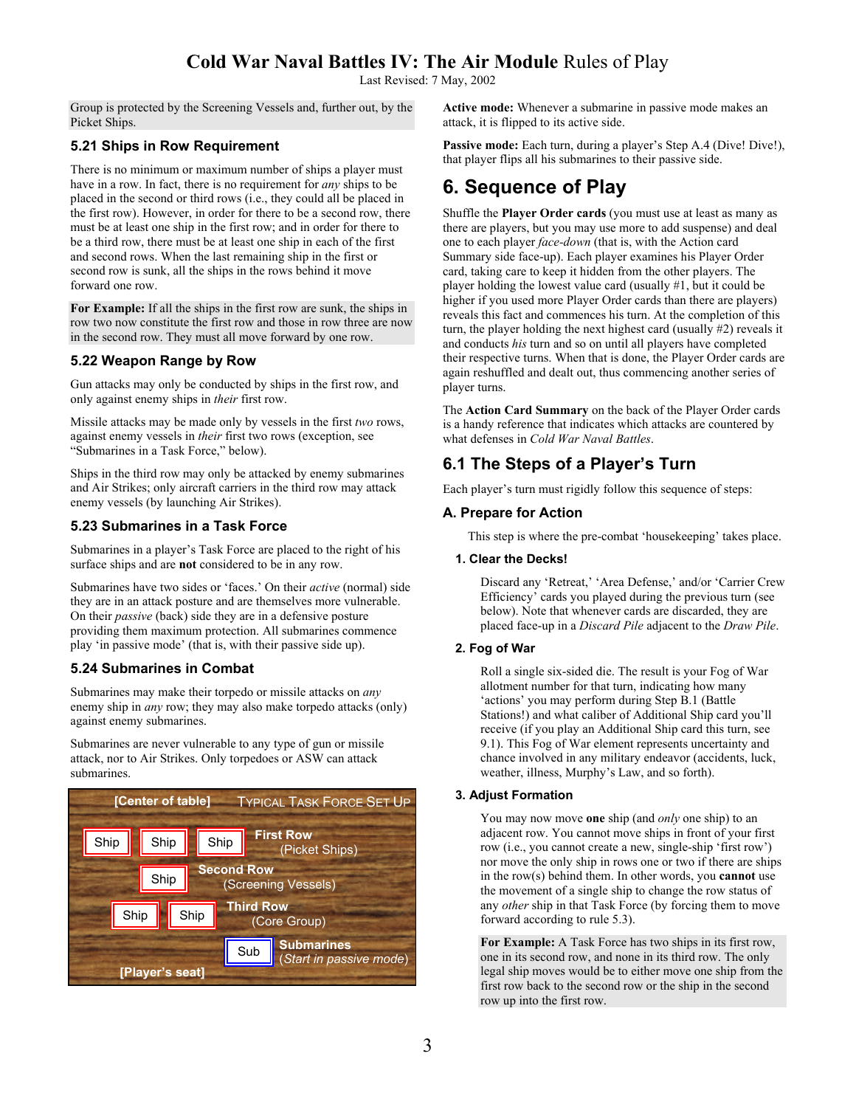Last Revised: 7 May, 2002

Group is protected by the Screening Vessels and, further out, by the Picket Ships.

### **5.21 Ships in Row Requirement**

There is no minimum or maximum number of ships a player must have in a row. In fact, there is no requirement for *any* ships to be placed in the second or third rows (i.e., they could all be placed in the first row). However, in order for there to be a second row, there must be at least one ship in the first row; and in order for there to be a third row, there must be at least one ship in each of the first and second rows. When the last remaining ship in the first or second row is sunk, all the ships in the rows behind it move forward one row.

**For Example:** If all the ships in the first row are sunk, the ships in row two now constitute the first row and those in row three are now in the second row. They must all move forward by one row.

### **5.22 Weapon Range by Row**

Gun attacks may only be conducted by ships in the first row, and only against enemy ships in *their* first row.

Missile attacks may be made only by vessels in the first *two* rows, against enemy vessels in *their* first two rows (exception, see "Submarines in a Task Force," below).

Ships in the third row may only be attacked by enemy submarines and Air Strikes; only aircraft carriers in the third row may attack enemy vessels (by launching Air Strikes).

### **5.23 Submarines in a Task Force**

Submarines in a player's Task Force are placed to the right of his surface ships and are **not** considered to be in any row.

Submarines have two sides or 'faces.' On their *active* (normal) side they are in an attack posture and are themselves more vulnerable. On their *passive* (back) side they are in a defensive posture providing them maximum protection. All submarines commence play 'in passive mode' (that is, with their passive side up).

### **5.24 Submarines in Combat**

Submarines may make their torpedo or missile attacks on *any*  enemy ship in *any* row; they may also make torpedo attacks (only) against enemy submarines.

Submarines are never vulnerable to any type of gun or missile attack, nor to Air Strikes. Only torpedoes or ASW can attack submarines.



**Active mode:** Whenever a submarine in passive mode makes an attack, it is flipped to its active side.

**Passive mode:** Each turn, during a player's Step A.4 (Dive! Dive!), that player flips all his submarines to their passive side.

# **6. Sequence of Play**

Shuffle the **Player Order cards** (you must use at least as many as there are players, but you may use more to add suspense) and deal one to each player *face-down* (that is, with the Action card Summary side face-up). Each player examines his Player Order card, taking care to keep it hidden from the other players. The player holding the lowest value card (usually #1, but it could be higher if you used more Player Order cards than there are players) reveals this fact and commences his turn. At the completion of this turn, the player holding the next highest card (usually  $#2$ ) reveals it and conducts *his* turn and so on until all players have completed their respective turns. When that is done, the Player Order cards are again reshuffled and dealt out, thus commencing another series of player turns.

The **Action Card Summary** on the back of the Player Order cards is a handy reference that indicates which attacks are countered by what defenses in *Cold War Naval Battles*.

## **6.1 The Steps of a Player's Turn**

Each player's turn must rigidly follow this sequence of steps:

### **A. Prepare for Action**

This step is where the pre-combat 'housekeeping' takes place.

#### **1. Clear the Decks!**

Discard any 'Retreat,' 'Area Defense,' and/or 'Carrier Crew Efficiency' cards you played during the previous turn (see below). Note that whenever cards are discarded, they are placed face-up in a *Discard Pile* adjacent to the *Draw Pile*.

#### **2. Fog of War**

Roll a single six-sided die. The result is your Fog of War allotment number for that turn, indicating how many 'actions' you may perform during Step B.1 (Battle Stations!) and what caliber of Additional Ship card you'll receive (if you play an Additional Ship card this turn, see 9.1). This Fog of War element represents uncertainty and chance involved in any military endeavor (accidents, luck, weather, illness, Murphy's Law, and so forth).

#### **3. Adjust Formation**

You may now move **one** ship (and *only* one ship) to an adjacent row. You cannot move ships in front of your first row (i.e., you cannot create a new, single-ship 'first row') nor move the only ship in rows one or two if there are ships in the row(s) behind them. In other words, you **cannot** use the movement of a single ship to change the row status of any *other* ship in that Task Force (by forcing them to move forward according to rule 5.3).

**For Example:** A Task Force has two ships in its first row, one in its second row, and none in its third row. The only legal ship moves would be to either move one ship from the first row back to the second row or the ship in the second row up into the first row.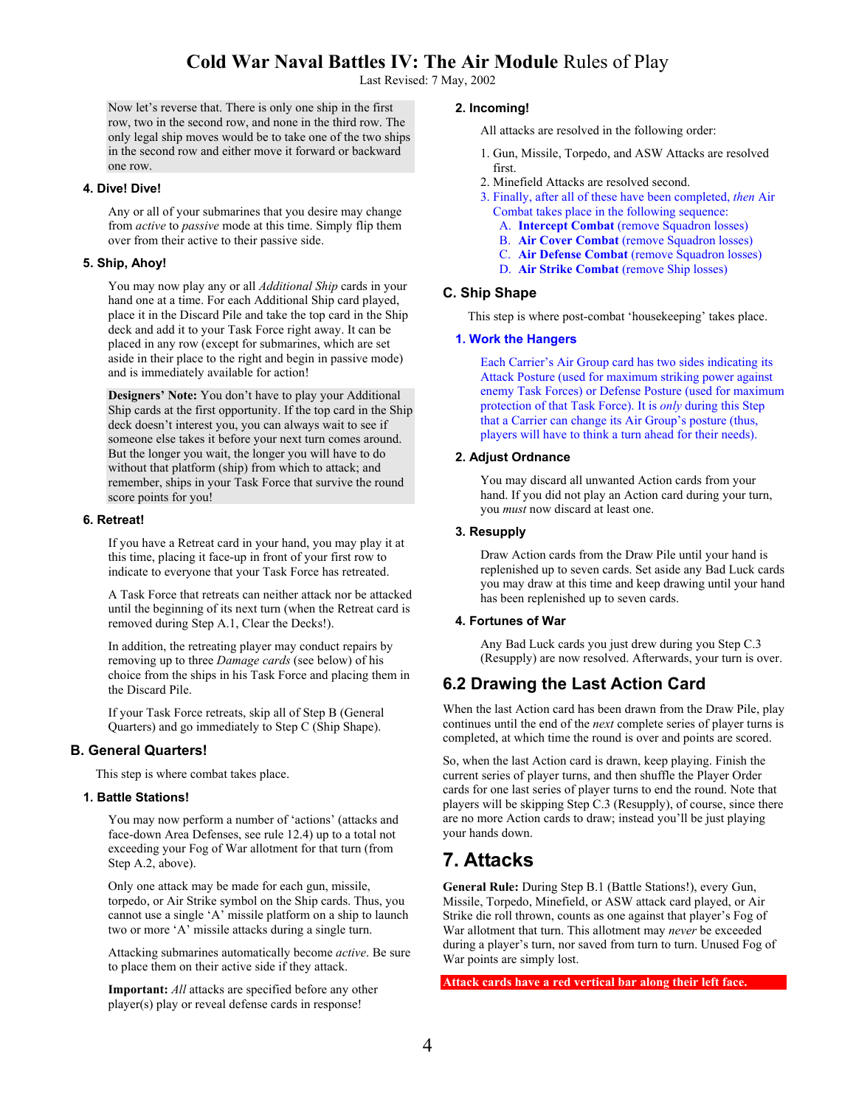Last Revised: 7 May, 2002

Now let's reverse that. There is only one ship in the first row, two in the second row, and none in the third row. The only legal ship moves would be to take one of the two ships in the second row and either move it forward or backward one row.

#### **4. Dive! Dive!**

Any or all of your submarines that you desire may change from *active* to *passive* mode at this time. Simply flip them over from their active to their passive side.

#### **5. Ship, Ahoy!**

You may now play any or all *Additional Ship* cards in your hand one at a time. For each Additional Ship card played, place it in the Discard Pile and take the top card in the Ship deck and add it to your Task Force right away. It can be placed in any row (except for submarines, which are set aside in their place to the right and begin in passive mode) and is immediately available for action!

**Designers' Note:** You don't have to play your Additional Ship cards at the first opportunity. If the top card in the Ship deck doesn't interest you, you can always wait to see if someone else takes it before your next turn comes around. But the longer you wait, the longer you will have to do without that platform (ship) from which to attack; and remember, ships in your Task Force that survive the round score points for you!

#### **6. Retreat!**

If you have a Retreat card in your hand, you may play it at this time, placing it face-up in front of your first row to indicate to everyone that your Task Force has retreated.

A Task Force that retreats can neither attack nor be attacked until the beginning of its next turn (when the Retreat card is removed during Step A.1, Clear the Decks!).

In addition, the retreating player may conduct repairs by removing up to three *Damage cards* (see below) of his choice from the ships in his Task Force and placing them in the Discard Pile.

If your Task Force retreats, skip all of Step B (General Quarters) and go immediately to Step C (Ship Shape).

#### **B. General Quarters!**

This step is where combat takes place.

#### **1. Battle Stations!**

You may now perform a number of 'actions' (attacks and face-down Area Defenses, see rule 12.4) up to a total not exceeding your Fog of War allotment for that turn (from Step A.2, above).

Only one attack may be made for each gun, missile, torpedo, or Air Strike symbol on the Ship cards. Thus, you cannot use a single 'A' missile platform on a ship to launch two or more 'A' missile attacks during a single turn.

Attacking submarines automatically become *active*. Be sure to place them on their active side if they attack.

**Important:** *All* attacks are specified before any other player(s) play or reveal defense cards in response!

#### **2. Incoming!**

All attacks are resolved in the following order:

- 1. Gun, Missile, Torpedo, and ASW Attacks are resolved first.
- 2. Minefield Attacks are resolved second.
- 3. Finally, after all of these have been completed, *then* Air Combat takes place in the following sequence:
	- A. **Intercept Combat** (remove Squadron losses)
	- B. **Air Cover Combat** (remove Squadron losses)
	- C. **Air Defense Combat** (remove Squadron losses)
	- D. **Air Strike Combat** (remove Ship losses)

#### **C. Ship Shape**

This step is where post-combat 'housekeeping' takes place.

#### **1. Work the Hangers**

Each Carrier's Air Group card has two sides indicating its Attack Posture (used for maximum striking power against enemy Task Forces) or Defense Posture (used for maximum protection of that Task Force). It is *only* during this Step that a Carrier can change its Air Group's posture (thus, players will have to think a turn ahead for their needs).

#### **2. Adjust Ordnance**

You may discard all unwanted Action cards from your hand. If you did not play an Action card during your turn, you *must* now discard at least one.

#### **3. Resupply**

Draw Action cards from the Draw Pile until your hand is replenished up to seven cards. Set aside any Bad Luck cards you may draw at this time and keep drawing until your hand has been replenished up to seven cards.

#### **4. Fortunes of War**

Any Bad Luck cards you just drew during you Step C.3 (Resupply) are now resolved. Afterwards, your turn is over.

## **6.2 Drawing the Last Action Card**

When the last Action card has been drawn from the Draw Pile, play continues until the end of the *next* complete series of player turns is completed, at which time the round is over and points are scored.

So, when the last Action card is drawn, keep playing. Finish the current series of player turns, and then shuffle the Player Order cards for one last series of player turns to end the round. Note that players will be skipping Step C.3 (Resupply), of course, since there are no more Action cards to draw; instead you'll be just playing your hands down.

# **7. Attacks**

**General Rule:** During Step B.1 (Battle Stations!), every Gun, Missile, Torpedo, Minefield, or ASW attack card played, or Air Strike die roll thrown, counts as one against that player's Fog of War allotment that turn. This allotment may *never* be exceeded during a player's turn, nor saved from turn to turn. Unused Fog of War points are simply lost.

**Attack cards have a red vertical bar along their left face.**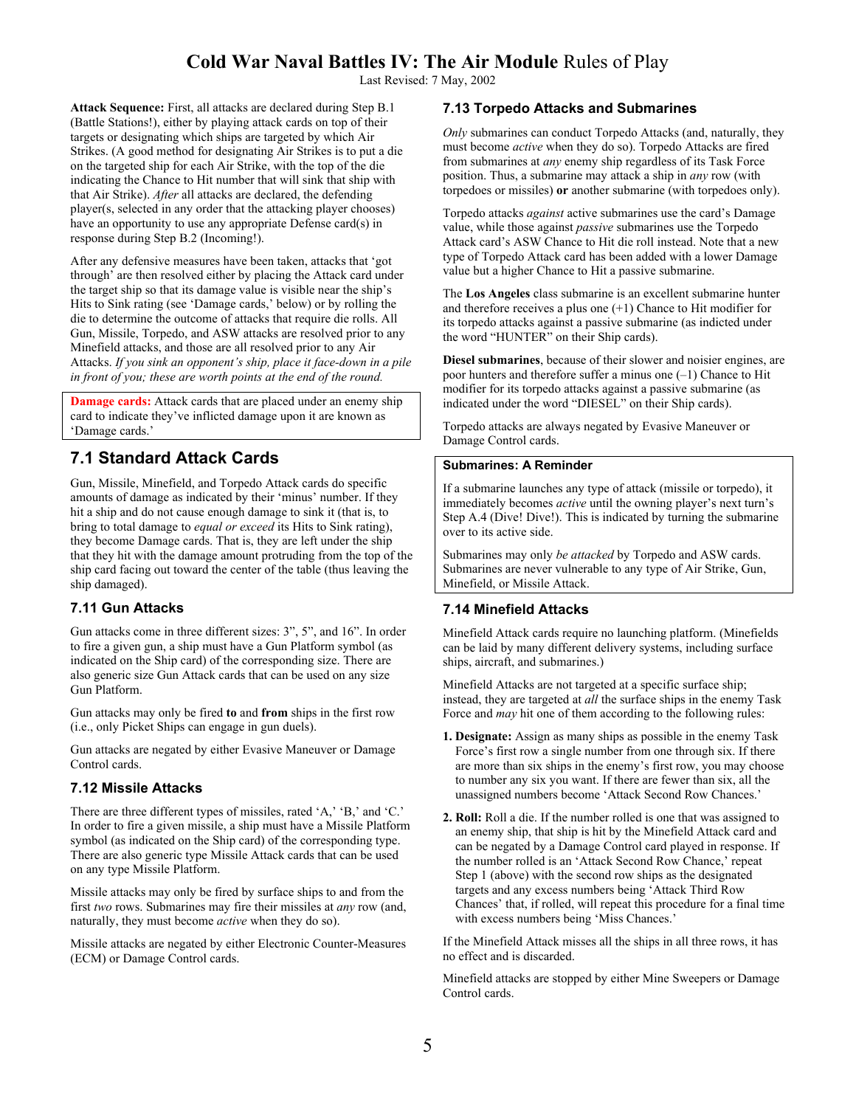Last Revised: 7 May, 2002

**Attack Sequence:** First, all attacks are declared during Step B.1 (Battle Stations!), either by playing attack cards on top of their targets or designating which ships are targeted by which Air Strikes. (A good method for designating Air Strikes is to put a die on the targeted ship for each Air Strike, with the top of the die indicating the Chance to Hit number that will sink that ship with that Air Strike). *After* all attacks are declared, the defending player(s, selected in any order that the attacking player chooses) have an opportunity to use any appropriate Defense card(s) in response during Step B.2 (Incoming!).

After any defensive measures have been taken, attacks that 'got through' are then resolved either by placing the Attack card under the target ship so that its damage value is visible near the ship's Hits to Sink rating (see 'Damage cards,' below) or by rolling the die to determine the outcome of attacks that require die rolls. All Gun, Missile, Torpedo, and ASW attacks are resolved prior to any Minefield attacks, and those are all resolved prior to any Air Attacks. *If you sink an opponent's ship, place it face-down in a pile in front of you; these are worth points at the end of the round.*

**Damage cards:** Attack cards that are placed under an enemy ship card to indicate they've inflicted damage upon it are known as 'Damage cards.'

# **7.1 Standard Attack Cards**

Gun, Missile, Minefield, and Torpedo Attack cards do specific amounts of damage as indicated by their 'minus' number. If they hit a ship and do not cause enough damage to sink it (that is, to bring to total damage to *equal or exceed* its Hits to Sink rating), they become Damage cards. That is, they are left under the ship that they hit with the damage amount protruding from the top of the ship card facing out toward the center of the table (thus leaving the ship damaged).

### **7.11 Gun Attacks**

Gun attacks come in three different sizes: 3", 5", and 16". In order to fire a given gun, a ship must have a Gun Platform symbol (as indicated on the Ship card) of the corresponding size. There are also generic size Gun Attack cards that can be used on any size Gun Platform.

Gun attacks may only be fired **to** and **from** ships in the first row (i.e., only Picket Ships can engage in gun duels).

Gun attacks are negated by either Evasive Maneuver or Damage Control cards.

### **7.12 Missile Attacks**

There are three different types of missiles, rated 'A,' 'B,' and 'C.' In order to fire a given missile, a ship must have a Missile Platform symbol (as indicated on the Ship card) of the corresponding type. There are also generic type Missile Attack cards that can be used on any type Missile Platform.

Missile attacks may only be fired by surface ships to and from the first *two* rows. Submarines may fire their missiles at *any* row (and, naturally, they must become *active* when they do so).

Missile attacks are negated by either Electronic Counter-Measures (ECM) or Damage Control cards.

#### **7.13 Torpedo Attacks and Submarines**

*Only* submarines can conduct Torpedo Attacks (and, naturally, they must become *active* when they do so). Torpedo Attacks are fired from submarines at *any* enemy ship regardless of its Task Force position. Thus, a submarine may attack a ship in *any* row (with torpedoes or missiles) **or** another submarine (with torpedoes only).

Torpedo attacks *against* active submarines use the card's Damage value, while those against *passive* submarines use the Torpedo Attack card's ASW Chance to Hit die roll instead. Note that a new type of Torpedo Attack card has been added with a lower Damage value but a higher Chance to Hit a passive submarine.

The **Los Angeles** class submarine is an excellent submarine hunter and therefore receives a plus one (+1) Chance to Hit modifier for its torpedo attacks against a passive submarine (as indicted under the word "HUNTER" on their Ship cards).

**Diesel submarines**, because of their slower and noisier engines, are poor hunters and therefore suffer a minus one (–1) Chance to Hit modifier for its torpedo attacks against a passive submarine (as indicated under the word "DIESEL" on their Ship cards).

Torpedo attacks are always negated by Evasive Maneuver or Damage Control cards.

#### **Submarines: A Reminder**

If a submarine launches any type of attack (missile or torpedo), it immediately becomes *active* until the owning player's next turn's Step A.4 (Dive! Dive!). This is indicated by turning the submarine over to its active side.

Submarines may only *be attacked* by Torpedo and ASW cards. Submarines are never vulnerable to any type of Air Strike, Gun, Minefield, or Missile Attack.

#### **7.14 Minefield Attacks**

Minefield Attack cards require no launching platform. (Minefields can be laid by many different delivery systems, including surface ships, aircraft, and submarines.)

Minefield Attacks are not targeted at a specific surface ship; instead, they are targeted at *all* the surface ships in the enemy Task Force and *may* hit one of them according to the following rules:

- **1. Designate:** Assign as many ships as possible in the enemy Task Force's first row a single number from one through six. If there are more than six ships in the enemy's first row, you may choose to number any six you want. If there are fewer than six, all the unassigned numbers become 'Attack Second Row Chances.'
- **2. Roll:** Roll a die. If the number rolled is one that was assigned to an enemy ship, that ship is hit by the Minefield Attack card and can be negated by a Damage Control card played in response. If the number rolled is an 'Attack Second Row Chance,' repeat Step 1 (above) with the second row ships as the designated targets and any excess numbers being 'Attack Third Row Chances' that, if rolled, will repeat this procedure for a final time with excess numbers being 'Miss Chances.'

If the Minefield Attack misses all the ships in all three rows, it has no effect and is discarded.

Minefield attacks are stopped by either Mine Sweepers or Damage Control cards.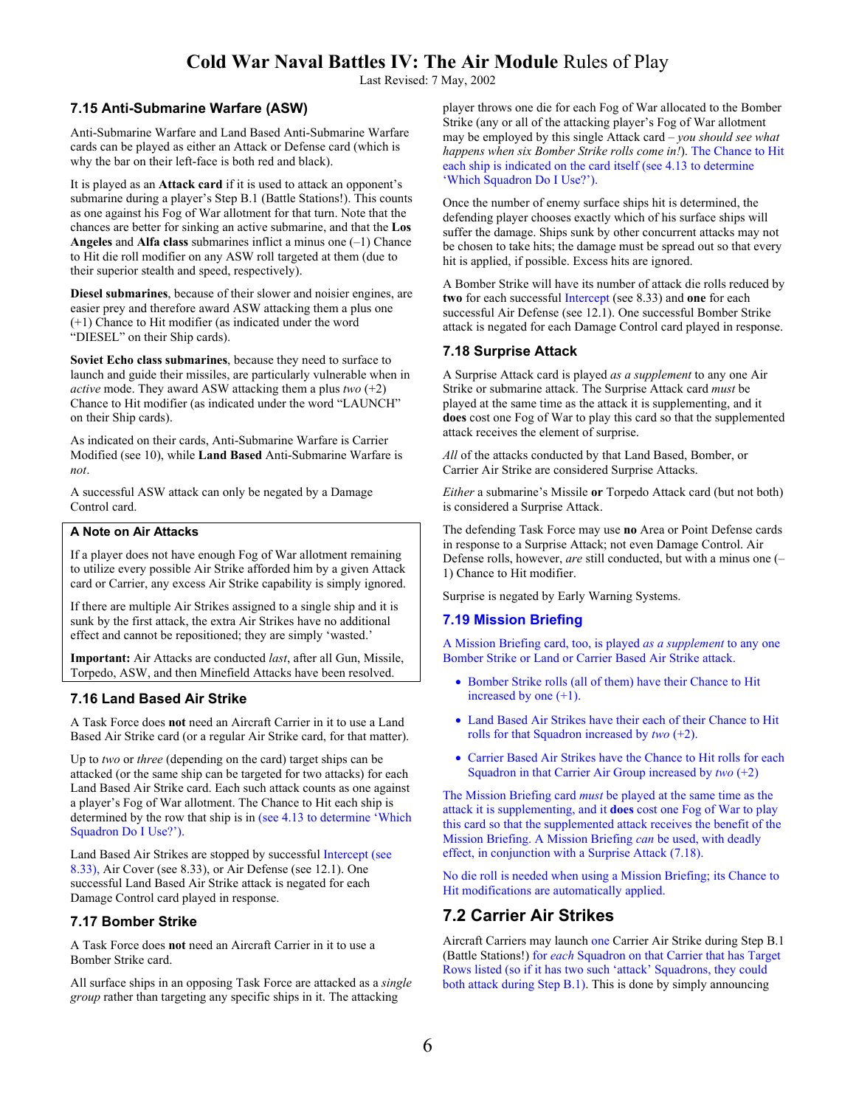Last Revised: 7 May, 2002

#### **7.15 Anti-Submarine Warfare (ASW)**

Anti-Submarine Warfare and Land Based Anti-Submarine Warfare cards can be played as either an Attack or Defense card (which is why the bar on their left-face is both red and black).

It is played as an **Attack card** if it is used to attack an opponent's submarine during a player's Step B.1 (Battle Stations!). This counts as one against his Fog of War allotment for that turn. Note that the chances are better for sinking an active submarine, and that the **Los Angeles** and **Alfa class** submarines inflict a minus one (–1) Chance to Hit die roll modifier on any ASW roll targeted at them (due to their superior stealth and speed, respectively).

**Diesel submarines**, because of their slower and noisier engines, are easier prey and therefore award ASW attacking them a plus one (+1) Chance to Hit modifier (as indicated under the word "DIESEL" on their Ship cards).

**Soviet Echo class submarines**, because they need to surface to launch and guide their missiles, are particularly vulnerable when in *active* mode. They award ASW attacking them a plus *two* (+2) Chance to Hit modifier (as indicated under the word "LAUNCH" on their Ship cards).

As indicated on their cards, Anti-Submarine Warfare is Carrier Modified (see 10), while **Land Based** Anti-Submarine Warfare is *not*.

A successful ASW attack can only be negated by a Damage Control card.

#### **A Note on Air Attacks**

If a player does not have enough Fog of War allotment remaining to utilize every possible Air Strike afforded him by a given Attack card or Carrier, any excess Air Strike capability is simply ignored.

If there are multiple Air Strikes assigned to a single ship and it is sunk by the first attack, the extra Air Strikes have no additional effect and cannot be repositioned; they are simply 'wasted.'

**Important:** Air Attacks are conducted *last*, after all Gun, Missile, Torpedo, ASW, and then Minefield Attacks have been resolved.

#### **7.16 Land Based Air Strike**

A Task Force does **not** need an Aircraft Carrier in it to use a Land Based Air Strike card (or a regular Air Strike card, for that matter).

Up to *two* or *three* (depending on the card) target ships can be attacked (or the same ship can be targeted for two attacks) for each Land Based Air Strike card. Each such attack counts as one against a player's Fog of War allotment. The Chance to Hit each ship is determined by the row that ship is in (see 4.13 to determine 'Which Squadron Do I Use?').

Land Based Air Strikes are stopped by successful Intercept (see 8.33), Air Cover (see 8.33), or Air Defense (see 12.1). One successful Land Based Air Strike attack is negated for each Damage Control card played in response.

#### **7.17 Bomber Strike**

A Task Force does **not** need an Aircraft Carrier in it to use a Bomber Strike card.

All surface ships in an opposing Task Force are attacked as a *single group* rather than targeting any specific ships in it. The attacking

player throws one die for each Fog of War allocated to the Bomber Strike (any or all of the attacking player's Fog of War allotment may be employed by this single Attack card – *you should see what happens when six Bomber Strike rolls come in!*). The Chance to Hit each ship is indicated on the card itself (see 4.13 to determine 'Which Squadron Do I Use?').

Once the number of enemy surface ships hit is determined, the defending player chooses exactly which of his surface ships will suffer the damage. Ships sunk by other concurrent attacks may not be chosen to take hits; the damage must be spread out so that every hit is applied, if possible. Excess hits are ignored.

A Bomber Strike will have its number of attack die rolls reduced by **two** for each successful Intercept (see 8.33) and **one** for each successful Air Defense (see 12.1). One successful Bomber Strike attack is negated for each Damage Control card played in response.

#### **7.18 Surprise Attack**

A Surprise Attack card is played *as a supplement* to any one Air Strike or submarine attack. The Surprise Attack card *must* be played at the same time as the attack it is supplementing, and it **does** cost one Fog of War to play this card so that the supplemented attack receives the element of surprise.

*All* of the attacks conducted by that Land Based, Bomber, or Carrier Air Strike are considered Surprise Attacks.

*Either* a submarine's Missile **or** Torpedo Attack card (but not both) is considered a Surprise Attack.

The defending Task Force may use **no** Area or Point Defense cards in response to a Surprise Attack; not even Damage Control. Air Defense rolls, however, *are* still conducted, but with a minus one (– 1) Chance to Hit modifier.

Surprise is negated by Early Warning Systems.

#### **7.19 Mission Briefing**

A Mission Briefing card, too, is played *as a supplement* to any one Bomber Strike or Land or Carrier Based Air Strike attack.

- Bomber Strike rolls (all of them) have their Chance to Hit increased by one (+1).
- Land Based Air Strikes have their each of their Chance to Hit rolls for that Squadron increased by *two* (+2).
- Carrier Based Air Strikes have the Chance to Hit rolls for each Squadron in that Carrier Air Group increased by *two* (+2)

The Mission Briefing card *must* be played at the same time as the attack it is supplementing, and it **does** cost one Fog of War to play this card so that the supplemented attack receives the benefit of the Mission Briefing. A Mission Briefing *can* be used, with deadly effect, in conjunction with a Surprise Attack (7.18).

No die roll is needed when using a Mission Briefing; its Chance to Hit modifications are automatically applied.

### **7.2 Carrier Air Strikes**

Aircraft Carriers may launch one Carrier Air Strike during Step B.1 (Battle Stations!) for *each* Squadron on that Carrier that has Target Rows listed (so if it has two such 'attack' Squadrons, they could both attack during Step B.1). This is done by simply announcing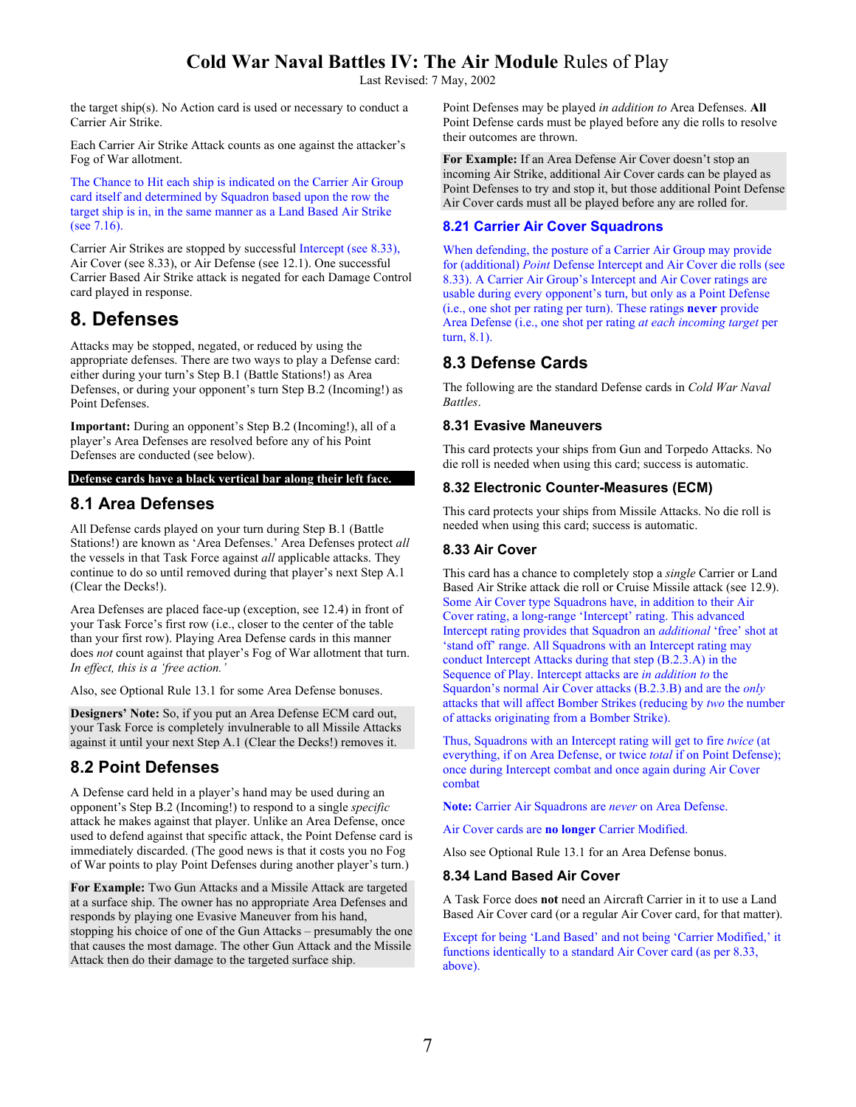Last Revised: 7 May, 2002

the target ship(s). No Action card is used or necessary to conduct a Carrier Air Strike.

Each Carrier Air Strike Attack counts as one against the attacker's Fog of War allotment.

The Chance to Hit each ship is indicated on the Carrier Air Group card itself and determined by Squadron based upon the row the target ship is in, in the same manner as a Land Based Air Strike (see 7.16).

Carrier Air Strikes are stopped by successful Intercept (see 8.33), Air Cover (see 8.33), or Air Defense (see 12.1). One successful Carrier Based Air Strike attack is negated for each Damage Control card played in response.

# **8. Defenses**

Attacks may be stopped, negated, or reduced by using the appropriate defenses. There are two ways to play a Defense card: either during your turn's Step B.1 (Battle Stations!) as Area Defenses, or during your opponent's turn Step B.2 (Incoming!) as Point Defenses.

**Important:** During an opponent's Step B.2 (Incoming!), all of a player's Area Defenses are resolved before any of his Point Defenses are conducted (see below).

#### **Defense cards have a black vertical bar along their left face.**

### **8.1 Area Defenses**

All Defense cards played on your turn during Step B.1 (Battle Stations!) are known as 'Area Defenses.' Area Defenses protect *all*  the vessels in that Task Force against *all* applicable attacks. They continue to do so until removed during that player's next Step A.1 (Clear the Decks!).

Area Defenses are placed face-up (exception, see 12.4) in front of your Task Force's first row (i.e., closer to the center of the table than your first row). Playing Area Defense cards in this manner does *not* count against that player's Fog of War allotment that turn. *In effect, this is a 'free action.'* 

Also, see Optional Rule 13.1 for some Area Defense bonuses.

**Designers' Note:** So, if you put an Area Defense ECM card out, your Task Force is completely invulnerable to all Missile Attacks against it until your next Step A.1 (Clear the Decks!) removes it.

## **8.2 Point Defenses**

A Defense card held in a player's hand may be used during an opponent's Step B.2 (Incoming!) to respond to a single *specific* attack he makes against that player. Unlike an Area Defense, once used to defend against that specific attack, the Point Defense card is immediately discarded. (The good news is that it costs you no Fog of War points to play Point Defenses during another player's turn.)

**For Example:** Two Gun Attacks and a Missile Attack are targeted at a surface ship. The owner has no appropriate Area Defenses and responds by playing one Evasive Maneuver from his hand, stopping his choice of one of the Gun Attacks – presumably the one that causes the most damage. The other Gun Attack and the Missile Attack then do their damage to the targeted surface ship.

Point Defenses may be played *in addition to* Area Defenses. **All**  Point Defense cards must be played before any die rolls to resolve their outcomes are thrown.

**For Example:** If an Area Defense Air Cover doesn't stop an incoming Air Strike, additional Air Cover cards can be played as Point Defenses to try and stop it, but those additional Point Defense Air Cover cards must all be played before any are rolled for.

### **8.21 Carrier Air Cover Squadrons**

When defending, the posture of a Carrier Air Group may provide for (additional) *Point* Defense Intercept and Air Cover die rolls (see 8.33). A Carrier Air Group's Intercept and Air Cover ratings are usable during every opponent's turn, but only as a Point Defense (i.e., one shot per rating per turn). These ratings **never** provide Area Defense (i.e., one shot per rating *at each incoming target* per turn, 8.1).

### **8.3 Defense Cards**

The following are the standard Defense cards in *Cold War Naval Battles*.

#### **8.31 Evasive Maneuvers**

This card protects your ships from Gun and Torpedo Attacks. No die roll is needed when using this card; success is automatic.

#### **8.32 Electronic Counter-Measures (ECM)**

This card protects your ships from Missile Attacks. No die roll is needed when using this card; success is automatic.

### **8.33 Air Cover**

This card has a chance to completely stop a *single* Carrier or Land Based Air Strike attack die roll or Cruise Missile attack (see 12.9). Some Air Cover type Squadrons have, in addition to their Air Cover rating, a long-range 'Intercept' rating. This advanced Intercept rating provides that Squadron an *additional* 'free' shot at 'stand off' range. All Squadrons with an Intercept rating may conduct Intercept Attacks during that step (B.2.3.A) in the Sequence of Play. Intercept attacks are *in addition to* the Squardon's normal Air Cover attacks (B.2.3.B) and are the *only*  attacks that will affect Bomber Strikes (reducing by *two* the number of attacks originating from a Bomber Strike).

Thus, Squadrons with an Intercept rating will get to fire *twice* (at everything, if on Area Defense, or twice *total* if on Point Defense); once during Intercept combat and once again during Air Cover combat

**Note:** Carrier Air Squadrons are *never* on Area Defense.

Air Cover cards are **no longer** Carrier Modified.

Also see Optional Rule 13.1 for an Area Defense bonus.

#### **8.34 Land Based Air Cover**

A Task Force does **not** need an Aircraft Carrier in it to use a Land Based Air Cover card (or a regular Air Cover card, for that matter).

Except for being 'Land Based' and not being 'Carrier Modified,' it functions identically to a standard Air Cover card (as per 8.33, above).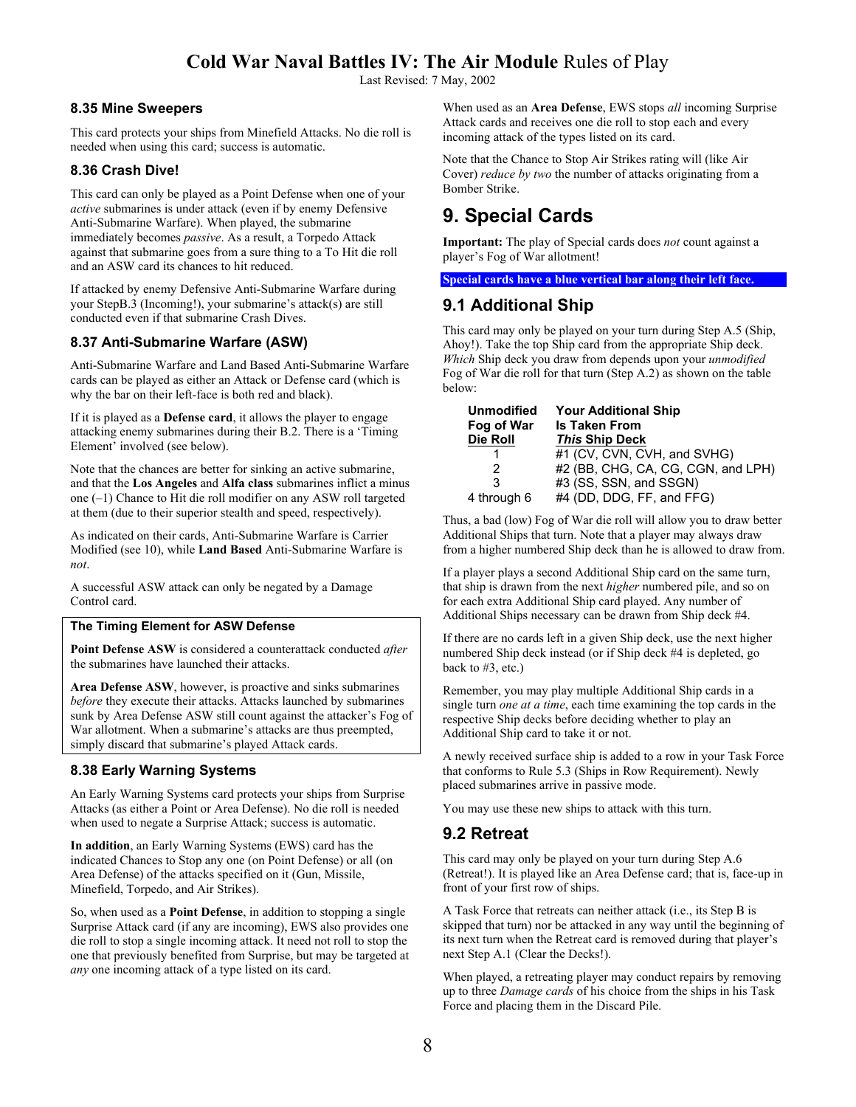Last Revised: 7 May, 2002

#### **8.35 Mine Sweepers**

This card protects your ships from Minefield Attacks. No die roll is needed when using this card; success is automatic.

#### **8.36 Crash Dive!**

This card can only be played as a Point Defense when one of your *active* submarines is under attack (even if by enemy Defensive Anti-Submarine Warfare). When played, the submarine immediately becomes *passive*. As a result, a Torpedo Attack against that submarine goes from a sure thing to a To Hit die roll and an ASW card its chances to hit reduced.

If attacked by enemy Defensive Anti-Submarine Warfare during your StepB.3 (Incoming!), your submarine's attack(s) are still conducted even if that submarine Crash Dives.

#### **8.37 Anti-Submarine Warfare (ASW)**

Anti-Submarine Warfare and Land Based Anti-Submarine Warfare cards can be played as either an Attack or Defense card (which is why the bar on their left-face is both red and black).

If it is played as a **Defense card**, it allows the player to engage attacking enemy submarines during their B.2. There is a 'Timing Element' involved (see below).

Note that the chances are better for sinking an active submarine, and that the **Los Angeles** and **Alfa class** submarines inflict a minus one (–1) Chance to Hit die roll modifier on any ASW roll targeted at them (due to their superior stealth and speed, respectively).

As indicated on their cards, Anti-Submarine Warfare is Carrier Modified (see 10), while **Land Based** Anti-Submarine Warfare is *not*.

A successful ASW attack can only be negated by a Damage Control card.

#### **The Timing Element for ASW Defense**

**Point Defense ASW** is considered a counterattack conducted *after*  the submarines have launched their attacks.

**Area Defense ASW**, however, is proactive and sinks submarines *before* they execute their attacks. Attacks launched by submarines sunk by Area Defense ASW still count against the attacker's Fog of War allotment. When a submarine's attacks are thus preempted, simply discard that submarine's played Attack cards.

#### **8.38 Early Warning Systems**

An Early Warning Systems card protects your ships from Surprise Attacks (as either a Point or Area Defense). No die roll is needed when used to negate a Surprise Attack; success is automatic.

**In addition**, an Early Warning Systems (EWS) card has the indicated Chances to Stop any one (on Point Defense) or all (on Area Defense) of the attacks specified on it (Gun, Missile, Minefield, Torpedo, and Air Strikes).

So, when used as a **Point Defense**, in addition to stopping a single Surprise Attack card (if any are incoming), EWS also provides one die roll to stop a single incoming attack. It need not roll to stop the one that previously benefited from Surprise, but may be targeted at *any* one incoming attack of a type listed on its card.

When used as an **Area Defense**, EWS stops *all* incoming Surprise Attack cards and receives one die roll to stop each and every incoming attack of the types listed on its card.

Note that the Chance to Stop Air Strikes rating will (like Air Cover) *reduce by two* the number of attacks originating from a Bomber Strike.

# **9. Special Cards**

**Important:** The play of Special cards does *not* count against a player's Fog of War allotment!

**Special cards have a blue vertical bar along their left face.** 

### **9.1 Additional Ship**

This card may only be played on your turn during Step A.5 (Ship, Ahoy!). Take the top Ship card from the appropriate Ship deck. *Which* Ship deck you draw from depends upon your *unmodified*  Fog of War die roll for that turn (Step A.2) as shown on the table below:

| <b>Unmodified</b> | <b>Your Additional Ship</b>        |  |  |
|-------------------|------------------------------------|--|--|
| Fog of War        | <b>Is Taken From</b>               |  |  |
| Die Roll          | <b>This Ship Deck</b>              |  |  |
|                   | #1 (CV, CVN, CVH, and SVHG)        |  |  |
| 2                 | #2 (BB, CHG, CA, CG, CGN, and LPH) |  |  |
| 3                 | #3 (SS, SSN, and SSGN)             |  |  |
| 4 through 6       | #4 (DD, DDG, FF, and FFG)          |  |  |

Thus, a bad (low) Fog of War die roll will allow you to draw better Additional Ships that turn. Note that a player may always draw from a higher numbered Ship deck than he is allowed to draw from.

If a player plays a second Additional Ship card on the same turn, that ship is drawn from the next *higher* numbered pile, and so on for each extra Additional Ship card played. Any number of Additional Ships necessary can be drawn from Ship deck #4.

If there are no cards left in a given Ship deck, use the next higher numbered Ship deck instead (or if Ship deck #4 is depleted, go back to #3, etc.)

Remember, you may play multiple Additional Ship cards in a single turn *one at a time*, each time examining the top cards in the respective Ship decks before deciding whether to play an Additional Ship card to take it or not.

A newly received surface ship is added to a row in your Task Force that conforms to Rule 5.3 (Ships in Row Requirement). Newly placed submarines arrive in passive mode.

You may use these new ships to attack with this turn.

### **9.2 Retreat**

This card may only be played on your turn during Step A.6 (Retreat!). It is played like an Area Defense card; that is, face-up in front of your first row of ships.

A Task Force that retreats can neither attack (i.e., its Step B is skipped that turn) nor be attacked in any way until the beginning of its next turn when the Retreat card is removed during that player's next Step A.1 (Clear the Decks!).

When played, a retreating player may conduct repairs by removing up to three *Damage cards* of his choice from the ships in his Task Force and placing them in the Discard Pile.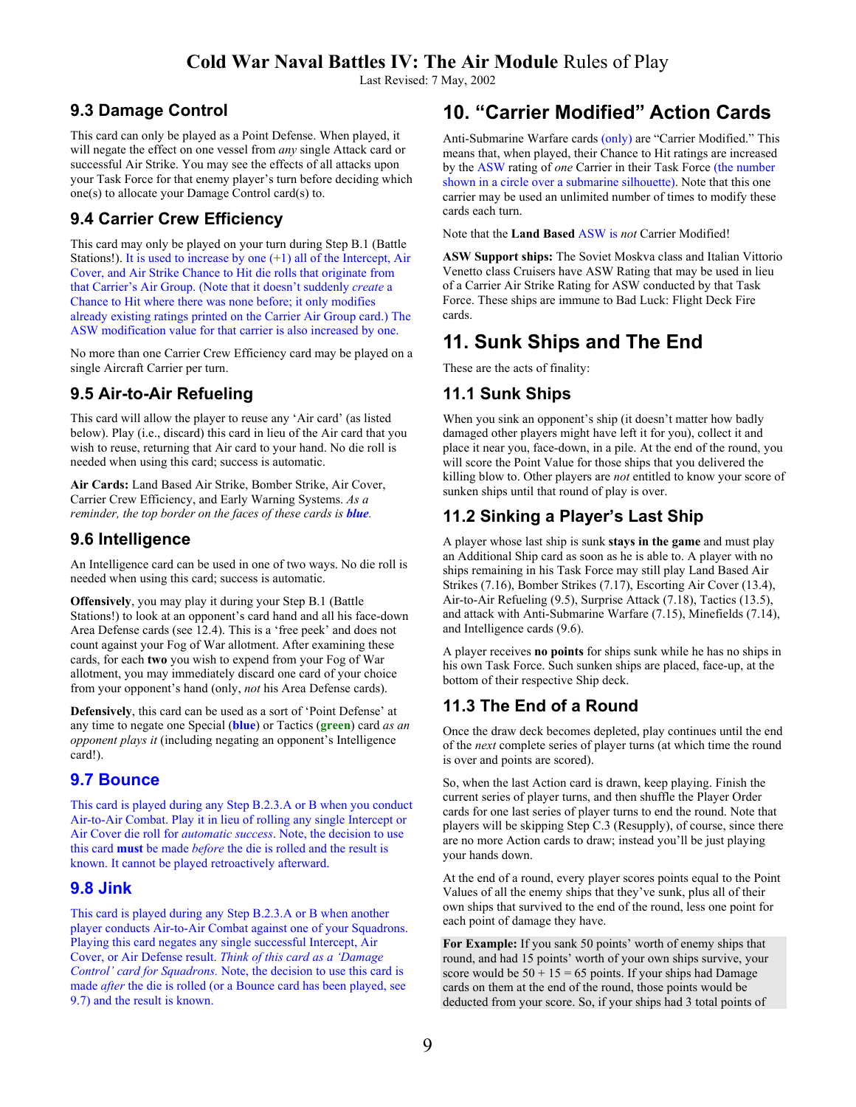Last Revised: 7 May, 2002

### **9.3 Damage Control**

This card can only be played as a Point Defense. When played, it will negate the effect on one vessel from *any* single Attack card or successful Air Strike. You may see the effects of all attacks upon your Task Force for that enemy player's turn before deciding which one(s) to allocate your Damage Control card(s) to.

## **9.4 Carrier Crew Efficiency**

This card may only be played on your turn during Step B.1 (Battle Stations!). It is used to increase by one (+1) all of the Intercept, Air Cover, and Air Strike Chance to Hit die rolls that originate from that Carrier's Air Group. (Note that it doesn't suddenly *create* a Chance to Hit where there was none before; it only modifies already existing ratings printed on the Carrier Air Group card.) The ASW modification value for that carrier is also increased by one.

No more than one Carrier Crew Efficiency card may be played on a single Aircraft Carrier per turn.

### **9.5 Air-to-Air Refueling**

This card will allow the player to reuse any 'Air card' (as listed below). Play (i.e., discard) this card in lieu of the Air card that you wish to reuse, returning that Air card to your hand. No die roll is needed when using this card; success is automatic.

**Air Cards:** Land Based Air Strike, Bomber Strike, Air Cover, Carrier Crew Efficiency, and Early Warning Systems. *As a reminder, the top border on the faces of these cards is <i>blue*.

### **9.6 Intelligence**

An Intelligence card can be used in one of two ways. No die roll is needed when using this card; success is automatic.

**Offensively**, you may play it during your Step B.1 (Battle Stations!) to look at an opponent's card hand and all his face-down Area Defense cards (see 12.4). This is a 'free peek' and does not count against your Fog of War allotment. After examining these cards, for each **two** you wish to expend from your Fog of War allotment, you may immediately discard one card of your choice from your opponent's hand (only, *not* his Area Defense cards).

**Defensively**, this card can be used as a sort of 'Point Defense' at any time to negate one Special (**blue**) or Tactics (**green**) card *as an opponent plays it* (including negating an opponent's Intelligence card!).

### **9.7 Bounce**

This card is played during any Step B.2.3.A or B when you conduct Air-to-Air Combat. Play it in lieu of rolling any single Intercept or Air Cover die roll for *automatic success*. Note, the decision to use this card **must** be made *before* the die is rolled and the result is known. It cannot be played retroactively afterward.

### **9.8 Jink**

This card is played during any Step B.2.3.A or B when another player conducts Air-to-Air Combat against one of your Squadrons. Playing this card negates any single successful Intercept, Air Cover, or Air Defense result. *Think of this card as a 'Damage Control' card for Squadrons.* Note, the decision to use this card is made *after* the die is rolled (or a Bounce card has been played, see 9.7) and the result is known.

# **10. "Carrier Modified" Action Cards**

Anti-Submarine Warfare cards (only) are "Carrier Modified." This means that, when played, their Chance to Hit ratings are increased by the ASW rating of *one* Carrier in their Task Force (the number shown in a circle over a submarine silhouette). Note that this one carrier may be used an unlimited number of times to modify these cards each turn.

Note that the **Land Based** ASW is *not* Carrier Modified!

**ASW Support ships:** The Soviet Moskva class and Italian Vittorio Venetto class Cruisers have ASW Rating that may be used in lieu of a Carrier Air Strike Rating for ASW conducted by that Task Force. These ships are immune to Bad Luck: Flight Deck Fire cards.

# **11. Sunk Ships and The End**

These are the acts of finality:

### **11.1 Sunk Ships**

When you sink an opponent's ship (it doesn't matter how badly damaged other players might have left it for you), collect it and place it near you, face-down, in a pile. At the end of the round, you will score the Point Value for those ships that you delivered the killing blow to. Other players are *not* entitled to know your score of sunken ships until that round of play is over.

### **11.2 Sinking a Player's Last Ship**

A player whose last ship is sunk **stays in the game** and must play an Additional Ship card as soon as he is able to. A player with no ships remaining in his Task Force may still play Land Based Air Strikes (7.16), Bomber Strikes (7.17), Escorting Air Cover (13.4), Air-to-Air Refueling (9.5), Surprise Attack (7.18), Tactics (13.5), and attack with Anti-Submarine Warfare (7.15), Minefields (7.14), and Intelligence cards (9.6).

A player receives **no points** for ships sunk while he has no ships in his own Task Force. Such sunken ships are placed, face-up, at the bottom of their respective Ship deck.

## **11.3 The End of a Round**

Once the draw deck becomes depleted, play continues until the end of the *next* complete series of player turns (at which time the round is over and points are scored).

So, when the last Action card is drawn, keep playing. Finish the current series of player turns, and then shuffle the Player Order cards for one last series of player turns to end the round. Note that players will be skipping Step C.3 (Resupply), of course, since there are no more Action cards to draw; instead you'll be just playing your hands down.

At the end of a round, every player scores points equal to the Point Values of all the enemy ships that they've sunk, plus all of their own ships that survived to the end of the round, less one point for each point of damage they have.

**For Example:** If you sank 50 points' worth of enemy ships that round, and had 15 points' worth of your own ships survive, your score would be  $50 + 15 = 65$  points. If your ships had Damage cards on them at the end of the round, those points would be deducted from your score. So, if your ships had 3 total points of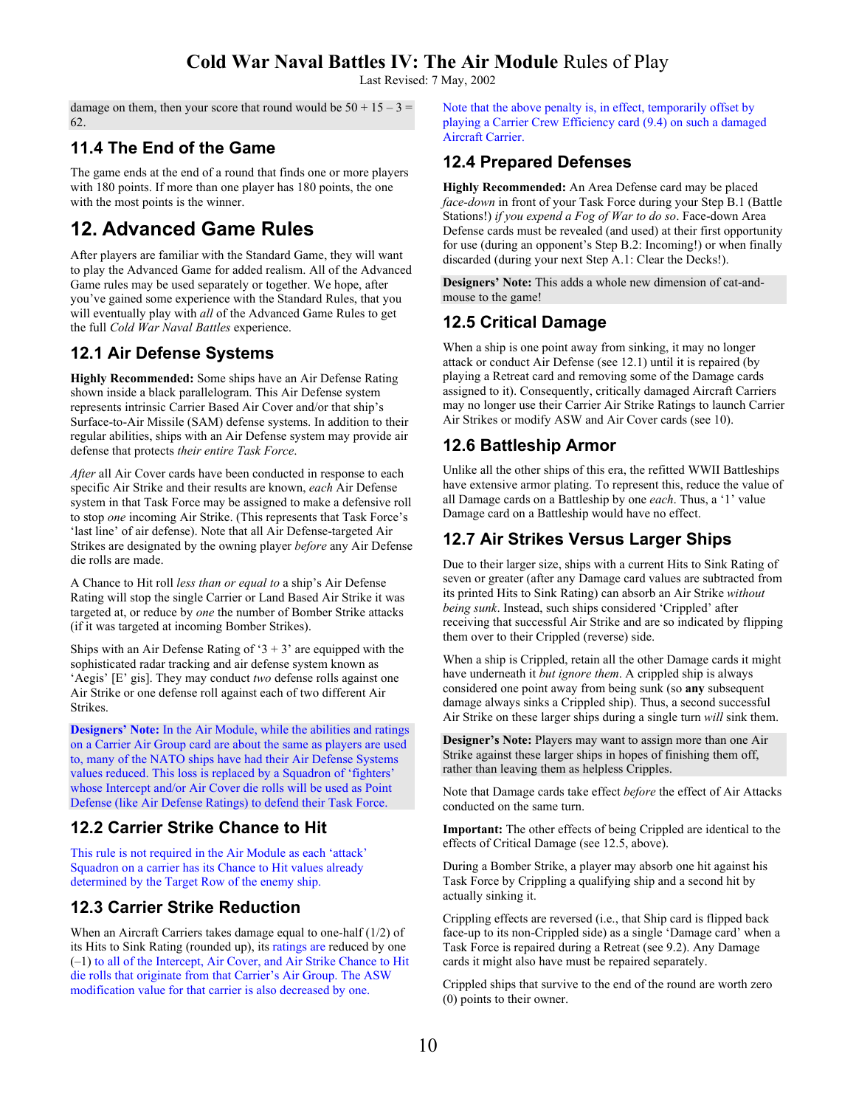Last Revised: 7 May, 2002

damage on them, then your score that round would be  $50 + 15 - 3 =$ 62.

## **11.4 The End of the Game**

The game ends at the end of a round that finds one or more players with 180 points. If more than one player has 180 points, the one with the most points is the winner.

# **12. Advanced Game Rules**

After players are familiar with the Standard Game, they will want to play the Advanced Game for added realism. All of the Advanced Game rules may be used separately or together. We hope, after you've gained some experience with the Standard Rules, that you will eventually play with *all* of the Advanced Game Rules to get the full *Cold War Naval Battles* experience.

## **12.1 Air Defense Systems**

**Highly Recommended:** Some ships have an Air Defense Rating shown inside a black parallelogram. This Air Defense system represents intrinsic Carrier Based Air Cover and/or that ship's Surface-to-Air Missile (SAM) defense systems. In addition to their regular abilities, ships with an Air Defense system may provide air defense that protects *their entire Task Force*.

*After* all Air Cover cards have been conducted in response to each specific Air Strike and their results are known, *each* Air Defense system in that Task Force may be assigned to make a defensive roll to stop *one* incoming Air Strike. (This represents that Task Force's 'last line' of air defense). Note that all Air Defense-targeted Air Strikes are designated by the owning player *before* any Air Defense die rolls are made.

A Chance to Hit roll *less than or equal to* a ship's Air Defense Rating will stop the single Carrier or Land Based Air Strike it was targeted at, or reduce by *one* the number of Bomber Strike attacks (if it was targeted at incoming Bomber Strikes).

Ships with an Air Defense Rating of ' $3 + 3$ ' are equipped with the sophisticated radar tracking and air defense system known as 'Aegis' [E' gis]. They may conduct *two* defense rolls against one Air Strike or one defense roll against each of two different Air Strikes.

**Designers' Note:** In the Air Module, while the abilities and ratings on a Carrier Air Group card are about the same as players are used to, many of the NATO ships have had their Air Defense Systems values reduced. This loss is replaced by a Squadron of 'fighters' whose Intercept and/or Air Cover die rolls will be used as Point Defense (like Air Defense Ratings) to defend their Task Force.

## **12.2 Carrier Strike Chance to Hit**

This rule is not required in the Air Module as each 'attack' Squadron on a carrier has its Chance to Hit values already determined by the Target Row of the enemy ship.

# **12.3 Carrier Strike Reduction**

When an Aircraft Carriers takes damage equal to one-half (1/2) of its Hits to Sink Rating (rounded up), its ratings are reduced by one (–1) to all of the Intercept, Air Cover, and Air Strike Chance to Hit die rolls that originate from that Carrier's Air Group. The ASW modification value for that carrier is also decreased by one.

Note that the above penalty is, in effect, temporarily offset by playing a Carrier Crew Efficiency card (9.4) on such a damaged Aircraft Carrier.

# **12.4 Prepared Defenses**

**Highly Recommended:** An Area Defense card may be placed *face-down* in front of your Task Force during your Step B.1 (Battle Stations!) *if you expend a Fog of War to do so*. Face-down Area Defense cards must be revealed (and used) at their first opportunity for use (during an opponent's Step B.2: Incoming!) or when finally discarded (during your next Step A.1: Clear the Decks!).

**Designers' Note:** This adds a whole new dimension of cat-andmouse to the game!

# **12.5 Critical Damage**

When a ship is one point away from sinking, it may no longer attack or conduct Air Defense (see 12.1) until it is repaired (by playing a Retreat card and removing some of the Damage cards assigned to it). Consequently, critically damaged Aircraft Carriers may no longer use their Carrier Air Strike Ratings to launch Carrier Air Strikes or modify ASW and Air Cover cards (see 10).

# **12.6 Battleship Armor**

Unlike all the other ships of this era, the refitted WWII Battleships have extensive armor plating. To represent this, reduce the value of all Damage cards on a Battleship by one *each*. Thus, a '1' value Damage card on a Battleship would have no effect.

# **12.7 Air Strikes Versus Larger Ships**

Due to their larger size, ships with a current Hits to Sink Rating of seven or greater (after any Damage card values are subtracted from its printed Hits to Sink Rating) can absorb an Air Strike *without being sunk*. Instead, such ships considered 'Crippled' after receiving that successful Air Strike and are so indicated by flipping them over to their Crippled (reverse) side.

When a ship is Crippled, retain all the other Damage cards it might have underneath it *but ignore them*. A crippled ship is always considered one point away from being sunk (so **any** subsequent damage always sinks a Crippled ship). Thus, a second successful Air Strike on these larger ships during a single turn *will* sink them.

**Designer's Note:** Players may want to assign more than one Air Strike against these larger ships in hopes of finishing them off, rather than leaving them as helpless Cripples.

Note that Damage cards take effect *before* the effect of Air Attacks conducted on the same turn.

**Important:** The other effects of being Crippled are identical to the effects of Critical Damage (see 12.5, above).

During a Bomber Strike, a player may absorb one hit against his Task Force by Crippling a qualifying ship and a second hit by actually sinking it.

Crippling effects are reversed (i.e., that Ship card is flipped back face-up to its non-Crippled side) as a single 'Damage card' when a Task Force is repaired during a Retreat (see 9.2). Any Damage cards it might also have must be repaired separately.

Crippled ships that survive to the end of the round are worth zero (0) points to their owner.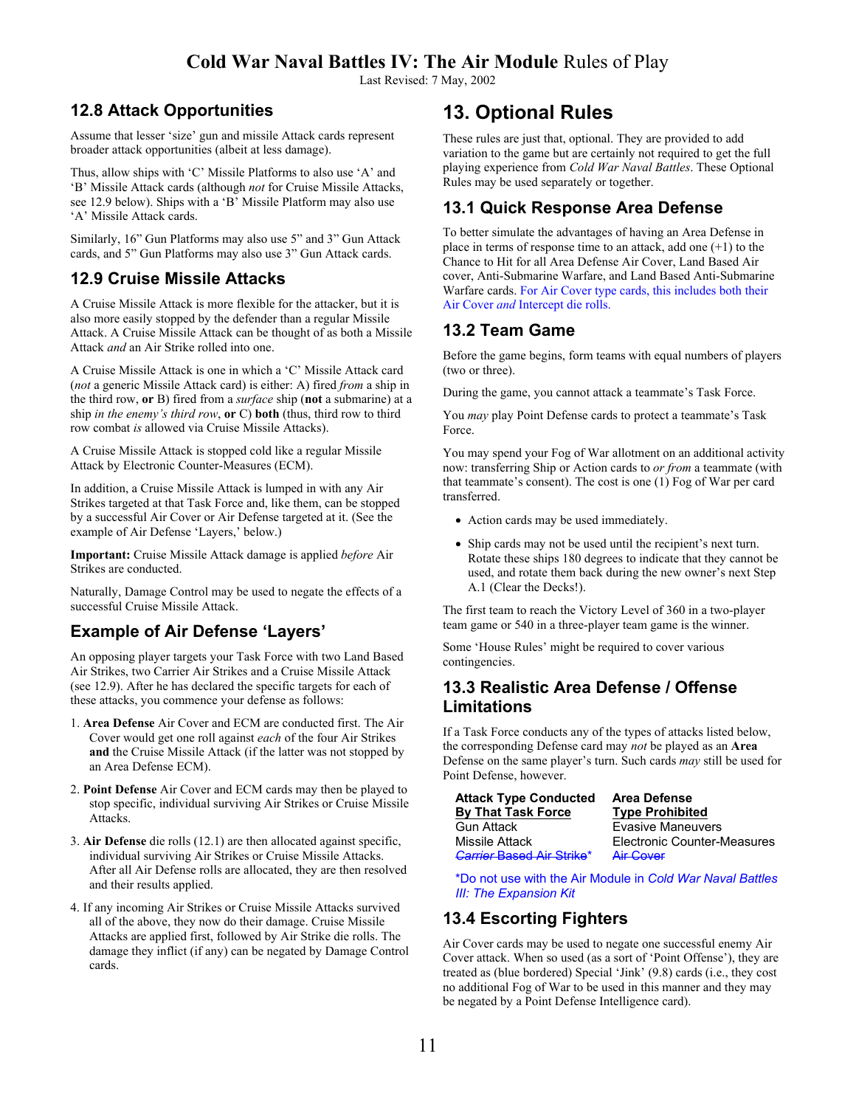Last Revised: 7 May, 2002

## **12.8 Attack Opportunities**

Assume that lesser 'size' gun and missile Attack cards represent broader attack opportunities (albeit at less damage).

Thus, allow ships with 'C' Missile Platforms to also use 'A' and 'B' Missile Attack cards (although *not* for Cruise Missile Attacks, see 12.9 below). Ships with a 'B' Missile Platform may also use 'A' Missile Attack cards.

Similarly, 16" Gun Platforms may also use 5" and 3" Gun Attack cards, and 5" Gun Platforms may also use 3" Gun Attack cards.

### **12.9 Cruise Missile Attacks**

A Cruise Missile Attack is more flexible for the attacker, but it is also more easily stopped by the defender than a regular Missile Attack. A Cruise Missile Attack can be thought of as both a Missile Attack *and* an Air Strike rolled into one.

A Cruise Missile Attack is one in which a 'C' Missile Attack card (*not* a generic Missile Attack card) is either: A) fired *from* a ship in the third row, **or** B) fired from a *surface* ship (**not** a submarine) at a ship *in the enemy's third row*, **or** C) **both** (thus, third row to third row combat *is* allowed via Cruise Missile Attacks).

A Cruise Missile Attack is stopped cold like a regular Missile Attack by Electronic Counter-Measures (ECM).

In addition, a Cruise Missile Attack is lumped in with any Air Strikes targeted at that Task Force and, like them, can be stopped by a successful Air Cover or Air Defense targeted at it. (See the example of Air Defense 'Layers,' below.)

**Important:** Cruise Missile Attack damage is applied *before* Air Strikes are conducted.

Naturally, Damage Control may be used to negate the effects of a successful Cruise Missile Attack.

## **Example of Air Defense 'Layers'**

An opposing player targets your Task Force with two Land Based Air Strikes, two Carrier Air Strikes and a Cruise Missile Attack (see 12.9). After he has declared the specific targets for each of these attacks, you commence your defense as follows:

- 1. **Area Defense** Air Cover and ECM are conducted first. The Air Cover would get one roll against *each* of the four Air Strikes **and** the Cruise Missile Attack (if the latter was not stopped by an Area Defense ECM).
- 2. **Point Defense** Air Cover and ECM cards may then be played to stop specific, individual surviving Air Strikes or Cruise Missile Attacks.
- 3. **Air Defense** die rolls (12.1) are then allocated against specific, individual surviving Air Strikes or Cruise Missile Attacks. After all Air Defense rolls are allocated, they are then resolved and their results applied.
- 4. If any incoming Air Strikes or Cruise Missile Attacks survived all of the above, they now do their damage. Cruise Missile Attacks are applied first, followed by Air Strike die rolls. The damage they inflict (if any) can be negated by Damage Control cards.

# **13. Optional Rules**

These rules are just that, optional. They are provided to add variation to the game but are certainly not required to get the full playing experience from *Cold War Naval Battles*. These Optional Rules may be used separately or together.

## **13.1 Quick Response Area Defense**

To better simulate the advantages of having an Area Defense in place in terms of response time to an attack, add one  $(+1)$  to the Chance to Hit for all Area Defense Air Cover, Land Based Air cover, Anti-Submarine Warfare, and Land Based Anti-Submarine Warfare cards. For Air Cover type cards, this includes both their Air Cover *and* Intercept die rolls.

## **13.2 Team Game**

Before the game begins, form teams with equal numbers of players (two or three).

During the game, you cannot attack a teammate's Task Force.

You *may* play Point Defense cards to protect a teammate's Task Force.

You may spend your Fog of War allotment on an additional activity now: transferring Ship or Action cards to *or from* a teammate (with that teammate's consent). The cost is one (1) Fog of War per card transferred.

- Action cards may be used immediately.
- Ship cards may not be used until the recipient's next turn. Rotate these ships 180 degrees to indicate that they cannot be used, and rotate them back during the new owner's next Step A.1 (Clear the Decks!).

The first team to reach the Victory Level of 360 in a two-player team game or 540 in a three-player team game is the winner.

Some 'House Rules' might be required to cover various contingencies.

### **13.3 Realistic Area Defense / Offense Limitations**

If a Task Force conducts any of the types of attacks listed below, the corresponding Defense card may *not* be played as an **Area** Defense on the same player's turn. Such cards *may* still be used for Point Defense, however.

| <b>Attack Type Conducted</b>     |  |  |  |  |
|----------------------------------|--|--|--|--|
| <b>By That Task Force</b>        |  |  |  |  |
| <b>Gun Attack</b>                |  |  |  |  |
| Missile Attack                   |  |  |  |  |
| <b>Carrier Based Air Strike*</b> |  |  |  |  |

**Area Defense Type Prohibited Evasive Maneuvers Electronic Counter-Measures Air Cover** 

\*Do not use with the Air Module in *Cold War Naval Battles III: The Expansion Kit*

# **13.4 Escorting Fighters**

Air Cover cards may be used to negate one successful enemy Air Cover attack. When so used (as a sort of 'Point Offense'), they are treated as (blue bordered) Special 'Jink' (9.8) cards (i.e., they cost no additional Fog of War to be used in this manner and they may be negated by a Point Defense Intelligence card).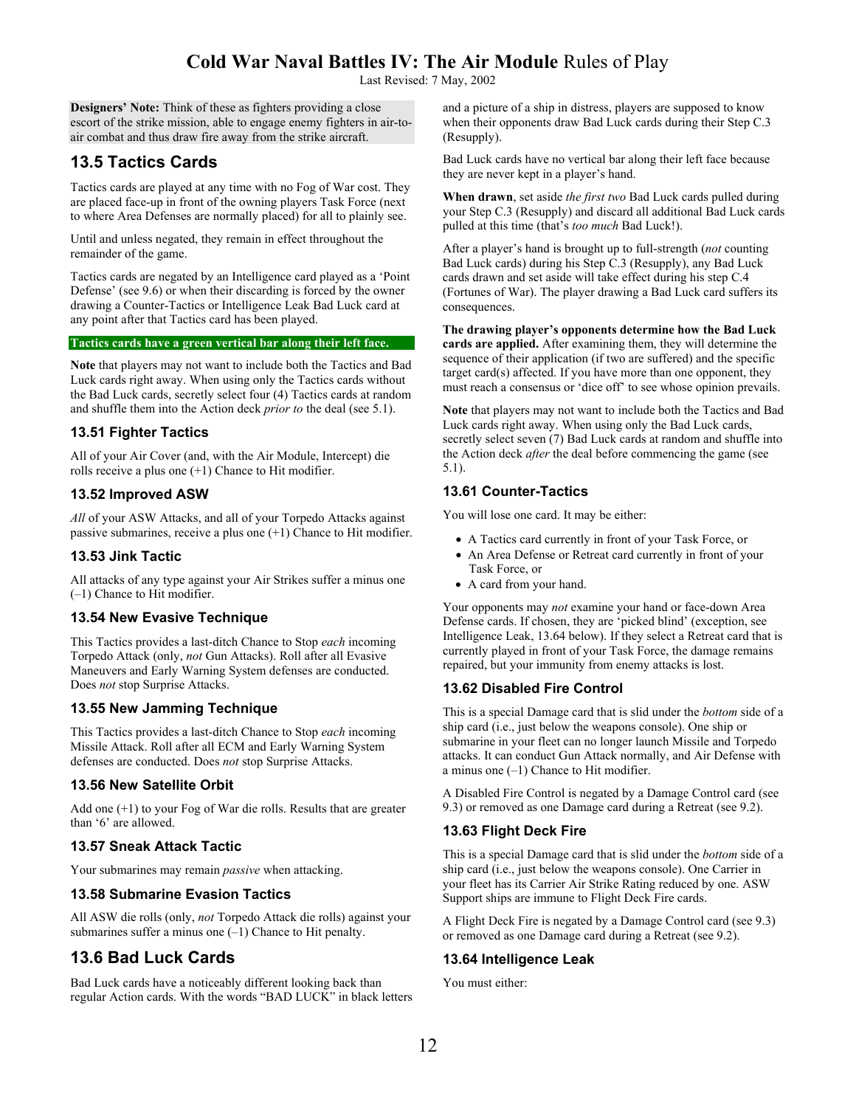Last Revised: 7 May, 2002

**Designers' Note:** Think of these as fighters providing a close escort of the strike mission, able to engage enemy fighters in air-toair combat and thus draw fire away from the strike aircraft.

### **13.5 Tactics Cards**

Tactics cards are played at any time with no Fog of War cost. They are placed face-up in front of the owning players Task Force (next to where Area Defenses are normally placed) for all to plainly see.

Until and unless negated, they remain in effect throughout the remainder of the game.

Tactics cards are negated by an Intelligence card played as a 'Point Defense' (see 9.6) or when their discarding is forced by the owner drawing a Counter-Tactics or Intelligence Leak Bad Luck card at any point after that Tactics card has been played.

#### **Tactics cards have a green vertical bar along their left face.**

**Note** that players may not want to include both the Tactics and Bad Luck cards right away. When using only the Tactics cards without the Bad Luck cards, secretly select four (4) Tactics cards at random and shuffle them into the Action deck *prior to* the deal (see 5.1).

#### **13.51 Fighter Tactics**

All of your Air Cover (and, with the Air Module, Intercept) die rolls receive a plus one (+1) Chance to Hit modifier.

#### **13.52 Improved ASW**

*All* of your ASW Attacks, and all of your Torpedo Attacks against passive submarines, receive a plus one (+1) Chance to Hit modifier.

#### **13.53 Jink Tactic**

All attacks of any type against your Air Strikes suffer a minus one (–1) Chance to Hit modifier.

### **13.54 New Evasive Technique**

This Tactics provides a last-ditch Chance to Stop *each* incoming Torpedo Attack (only, *not* Gun Attacks). Roll after all Evasive Maneuvers and Early Warning System defenses are conducted. Does *not* stop Surprise Attacks.

#### **13.55 New Jamming Technique**

This Tactics provides a last-ditch Chance to Stop *each* incoming Missile Attack. Roll after all ECM and Early Warning System defenses are conducted. Does *not* stop Surprise Attacks.

#### **13.56 New Satellite Orbit**

Add one (+1) to your Fog of War die rolls. Results that are greater than '6' are allowed.

### **13.57 Sneak Attack Tactic**

Your submarines may remain *passive* when attacking.

### **13.58 Submarine Evasion Tactics**

All ASW die rolls (only, *not* Torpedo Attack die rolls) against your submarines suffer a minus one  $(-1)$  Chance to Hit penalty.

# **13.6 Bad Luck Cards**

Bad Luck cards have a noticeably different looking back than regular Action cards. With the words "BAD LUCK" in black letters and a picture of a ship in distress, players are supposed to know when their opponents draw Bad Luck cards during their Step C.3 (Resupply).

Bad Luck cards have no vertical bar along their left face because they are never kept in a player's hand.

**When drawn**, set aside *the first two* Bad Luck cards pulled during your Step C.3 (Resupply) and discard all additional Bad Luck cards pulled at this time (that's *too much* Bad Luck!).

After a player's hand is brought up to full-strength (*not* counting Bad Luck cards) during his Step C.3 (Resupply), any Bad Luck cards drawn and set aside will take effect during his step C.4 (Fortunes of War). The player drawing a Bad Luck card suffers its consequences.

**The drawing player's opponents determine how the Bad Luck cards are applied.** After examining them, they will determine the sequence of their application (if two are suffered) and the specific target card(s) affected. If you have more than one opponent, they must reach a consensus or 'dice off' to see whose opinion prevails.

**Note** that players may not want to include both the Tactics and Bad Luck cards right away. When using only the Bad Luck cards, secretly select seven (7) Bad Luck cards at random and shuffle into the Action deck *after* the deal before commencing the game (see 5.1).

### **13.61 Counter-Tactics**

You will lose one card. It may be either:

- A Tactics card currently in front of your Task Force, or
- An Area Defense or Retreat card currently in front of your Task Force, or
- A card from your hand.

Your opponents may *not* examine your hand or face-down Area Defense cards. If chosen, they are 'picked blind' (exception, see Intelligence Leak, 13.64 below). If they select a Retreat card that is currently played in front of your Task Force, the damage remains repaired, but your immunity from enemy attacks is lost.

#### **13.62 Disabled Fire Control**

This is a special Damage card that is slid under the *bottom* side of a ship card (i.e., just below the weapons console). One ship or submarine in your fleet can no longer launch Missile and Torpedo attacks. It can conduct Gun Attack normally, and Air Defense with a minus one (–1) Chance to Hit modifier.

A Disabled Fire Control is negated by a Damage Control card (see 9.3) or removed as one Damage card during a Retreat (see 9.2).

#### **13.63 Flight Deck Fire**

This is a special Damage card that is slid under the *bottom* side of a ship card (i.e., just below the weapons console). One Carrier in your fleet has its Carrier Air Strike Rating reduced by one. ASW Support ships are immune to Flight Deck Fire cards.

A Flight Deck Fire is negated by a Damage Control card (see 9.3) or removed as one Damage card during a Retreat (see 9.2).

### **13.64 Intelligence Leak**

You must either: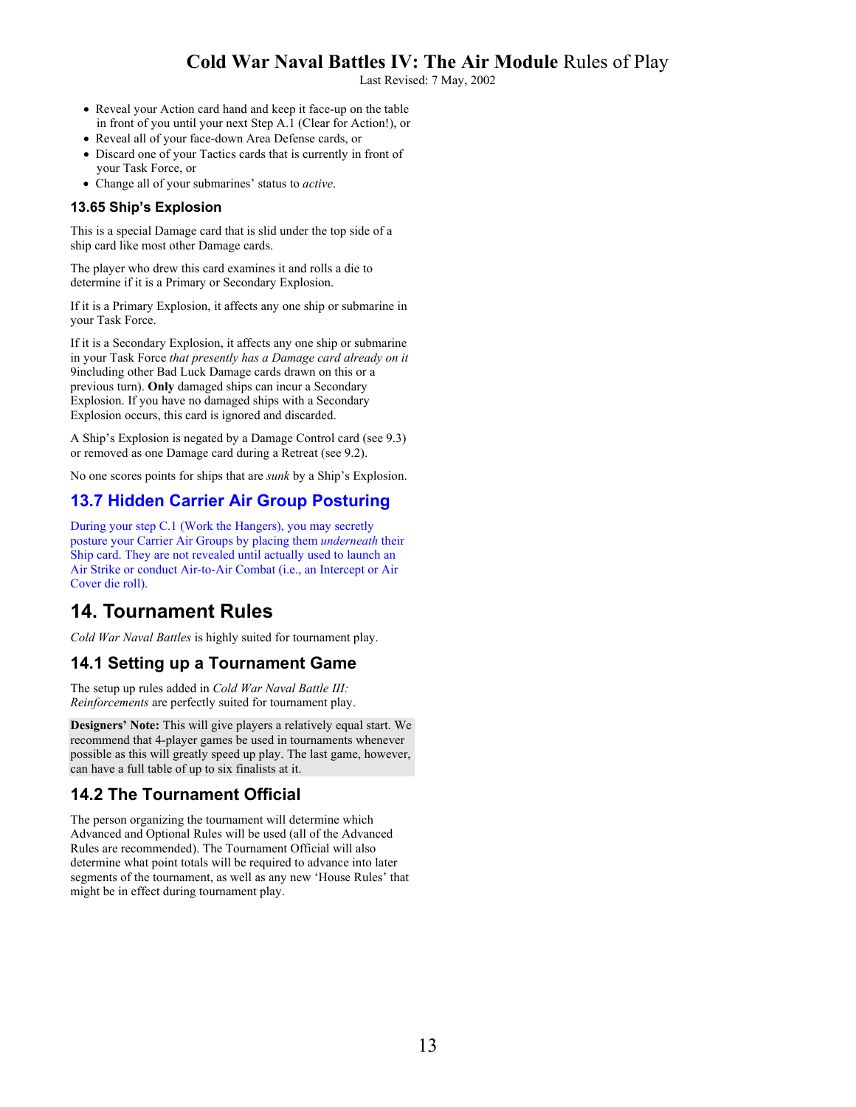Last Revised: 7 May, 2002

- Reveal your Action card hand and keep it face-up on the table in front of you until your next Step A.1 (Clear for Action!), or
- Reveal all of your face-down Area Defense cards, or
- Discard one of your Tactics cards that is currently in front of your Task Force, or
- Change all of your submarines' status to *active*.

#### **13.65 Ship's Explosion**

This is a special Damage card that is slid under the top side of a ship card like most other Damage cards.

The player who drew this card examines it and rolls a die to determine if it is a Primary or Secondary Explosion.

If it is a Primary Explosion, it affects any one ship or submarine in your Task Force.

If it is a Secondary Explosion, it affects any one ship or submarine in your Task Force *that presently has a Damage card already on it* 9including other Bad Luck Damage cards drawn on this or a previous turn). **Only** damaged ships can incur a Secondary Explosion. If you have no damaged ships with a Secondary Explosion occurs, this card is ignored and discarded.

A Ship's Explosion is negated by a Damage Control card (see 9.3) or removed as one Damage card during a Retreat (see 9.2).

No one scores points for ships that are *sunk* by a Ship's Explosion.

## **13.7 Hidden Carrier Air Group Posturing**

During your step C.1 (Work the Hangers), you may secretly posture your Carrier Air Groups by placing them *underneath* their Ship card. They are not revealed until actually used to launch an Air Strike or conduct Air-to-Air Combat (i.e., an Intercept or Air Cover die roll).

# **14. Tournament Rules**

*Cold War Naval Battles* is highly suited for tournament play.

### **14.1 Setting up a Tournament Game**

The setup up rules added in *Cold War Naval Battle III: Reinforcements* are perfectly suited for tournament play.

**Designers' Note:** This will give players a relatively equal start. We recommend that 4-player games be used in tournaments whenever possible as this will greatly speed up play. The last game, however, can have a full table of up to six finalists at it.

### **14.2 The Tournament Official**

The person organizing the tournament will determine which Advanced and Optional Rules will be used (all of the Advanced Rules are recommended). The Tournament Official will also determine what point totals will be required to advance into later segments of the tournament, as well as any new 'House Rules' that might be in effect during tournament play.